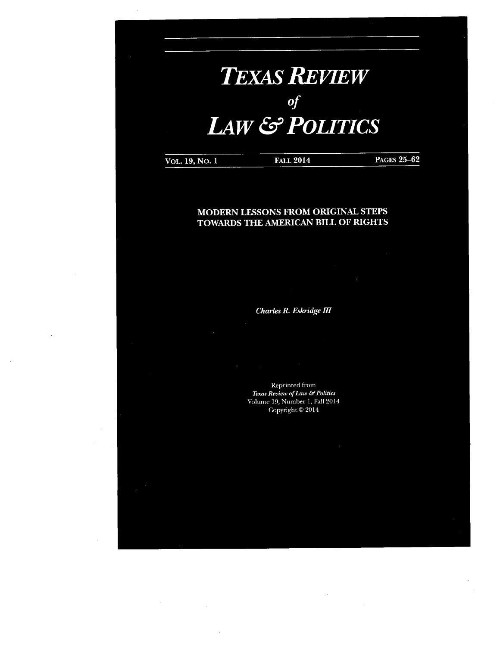# *TexasReview of* **LAW** & **POLITICS**

**VOL. 19, No. <sup>1</sup>** Fall **2014** Pages **25-62**

# **MODERN LESSONS FROM ORIGINAL STEPS TOWARDS THE AMERICAN BILL OF RIGHTS**

*Charles R. Eskridge HI*

Reprinted from *Texas Review ofLaw &Politics*

Volume 19, Number 1, Fall 2014 Copyright © 2014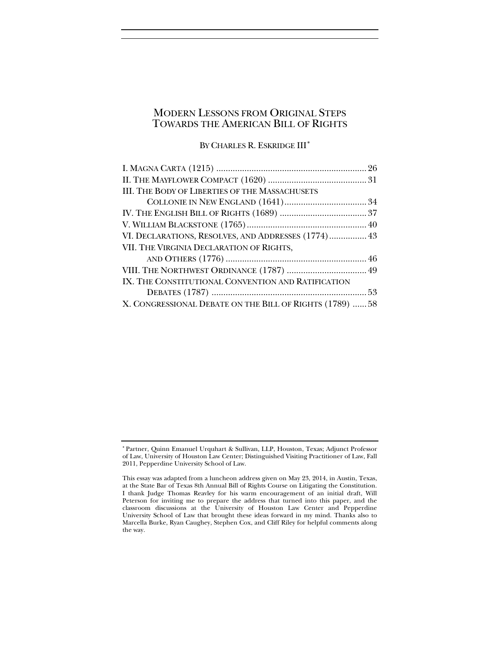# MODERN LESSONS FROM ORIGINAL STEPS TOWARDS THE AMERICAN BILL OF RIGHTS

BY CHARLES R. ESKRIDGE III<sup>\*</sup>

| <b>III. THE BODY OF LIBERTIES OF THE MASSACHUSETS</b>    |  |
|----------------------------------------------------------|--|
|                                                          |  |
|                                                          |  |
|                                                          |  |
| VI. DECLARATIONS, RESOLVES, AND ADDRESSES (1774) 43      |  |
| VII. THE VIRGINIA DECLARATION OF RIGHTS,                 |  |
|                                                          |  |
|                                                          |  |
| IX. THE CONSTITUTIONAL CONVENTION AND RATIFICATION       |  |
|                                                          |  |
| X. CONGRESSIONAL DEBATE ON THE BILL OF RIGHTS (1789)  58 |  |

<span id="page-1-0"></span><sup>∗</sup> Partner, Quinn Emanuel Urquhart & Sullivan, LLP, Houston, Texas; Adjunct Professor of Law, University of Houston Law Center; Distinguished Visiting Practitioner of Law, Fall 2011, Pepperdine University School of Law.

This essay was adapted from a luncheon address given on May 23, 2014, in Austin, Texas, at the State Bar of Texas 8th Annual Bill of Rights Course on Litigating the Constitution. I thank Judge Thomas Reavley for his warm encouragement of an initial draft, Will Peterson for inviting me to prepare the address that turned into this paper, and the classroom discussions at the University of Houston Law Center and Pepperdine University School of Law that brought these ideas forward in my mind. Thanks also to Marcella Burke, Ryan Caughey, Stephen Cox, and Cliff Riley for helpful comments along the way.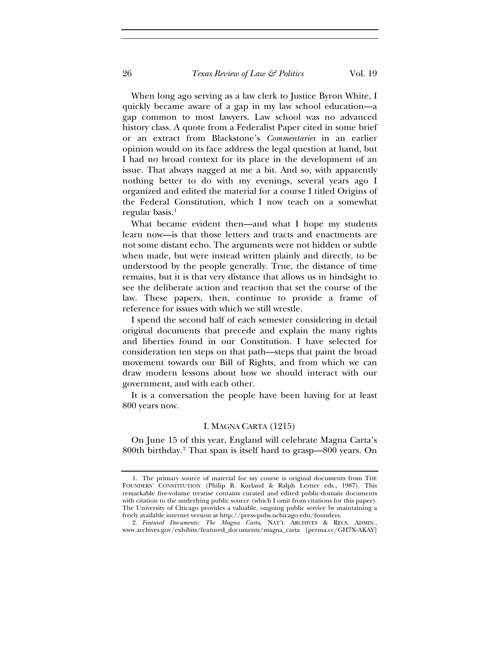When long ago serving as a law clerk to Justice Byron White, I quickly became aware of a gap in my law school education—a gap common to most lawyers. Law school was no advanced history class. A quote from a Federalist Paper cited in some brief or an extract from Blackstone's *Commentaries* in an earlier opinion would on its face address the legal question at hand, but I had no broad context for its place in the development of an issue. That always nagged at me a bit. And so, with apparently nothing better to do with my evenings, several years ago I organized and edited the material for a course I titled Origins of the Federal Constitution, which I now teach on a somewhat regular basis. $<sup>1</sup>$  $<sup>1</sup>$  $<sup>1</sup>$ </sup>

What became evident then—and what I hope my students learn now—is that those letters and tracts and enactments are not some distant echo. The arguments were not hidden or subtle when made, but were instead written plainly and directly, to be understood by the people generally. True, the distance of time remains, but it is that very distance that allows us in hindsight to see the deliberate action and reaction that set the course of the law. These papers, then, continue to provide a frame of reference for issues with which we still wrestle.

I spend the second half of each semester considering in detail original documents that precede and explain the many rights and liberties found in our Constitution. I have selected for consideration ten steps on that path—steps that paint the broad movement towards our Bill of Rights, and from which we can draw modern lessons about how we should interact with our government, and with each other.

It is a conversation the people have been having for at least 800 years now.

#### I. MAGNA CARTA (1215)

On June 15 of this year, England will celebrate Magna Carta's 800th birthday.[2](#page-2-1) That span is itself hard to grasp—800 years. On

<span id="page-2-0"></span><sup>1.</sup> The primary source of material for my course is original documents from THE FOUNDERS' CONSTITUTION (Philip B. Kurland & Ralph Lerner eds., 1987). This remarkable five-volume treatise contains curated and edited public-domain documents with citation to the underlying public source (which I omit from citations for this paper). The University of Chicago provides a valuable, ongoing public service by maintaining a freely available internet version at http://press-pubs.uchicago.edu/founders.

<span id="page-2-1"></span><sup>2.</sup> *Featured Documents: The Magna Carta*, NAT'L ARCHIVES & RECS. ADMIN., www.archives.gov/exhibits/featured\_documents/magna\_carta [perma.cc/GH7X-AKAY]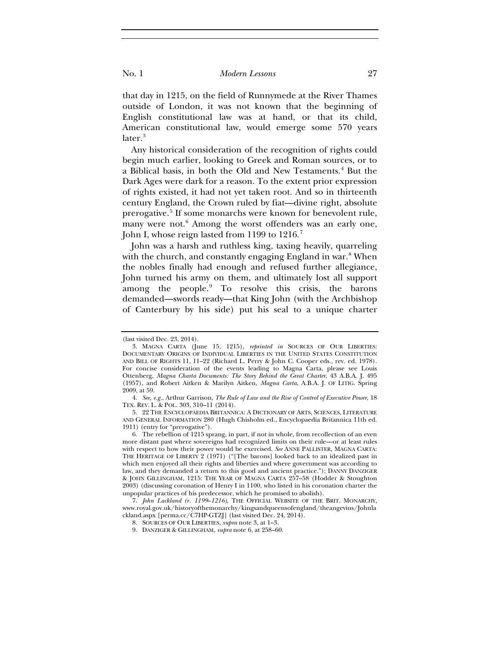that day in 1215, on the field of Runnymede at the River Thames outside of London, it was not known that the beginning of English constitutional law was at hand, or that its child, American constitutional law, would emerge some 570 years later.<sup>[3](#page-3-0)</sup>

Any historical consideration of the recognition of rights could begin much earlier, looking to Greek and Roman sources, or to a Biblical basis, in both the Old and New Testaments.<sup>[4](#page-3-1)</sup> But the Dark Ages were dark for a reason. To the extent prior expression of rights existed, it had not yet taken root. And so in thirteenth century England, the Crown ruled by fiat—divine right, absolute prerogative.[5](#page-3-2) If some monarchs were known for benevolent rule, many were not.<sup>[6](#page-3-3)</sup> Among the worst offenders was an early one, John I, whose reign lasted from 1199 to 1216.<sup>[7](#page-3-4)</sup>

John was a harsh and ruthless king, taxing heavily, quarreling with the church, and constantly engaging England in war.<sup>[8](#page-3-5)</sup> When the nobles finally had enough and refused further allegiance, John turned his army on them, and ultimately lost all support among the people. $9$  To resolve this crisis, the barons demanded—swords ready—that King John (with the Archbishop of Canterbury by his side) put his seal to a unique charter

<sup>(</sup>last visited Dec. 23, 2014).

<span id="page-3-0"></span><sup>3.</sup> MAGNA CARTA (June 15, 1215), *reprinted in* SOURCES OF OUR LIBERTIES: DOCUMENTARY ORIGINS OF INDIVIDUAL LIBERTIES IN THE UNITED STATES CONSTITUTION AND BILL OF RIGHTS 11, 11–22 (Richard L. Perry & John C. Cooper eds., rev. ed. 1978). For concise consideration of the events leading to Magna Carta, please see Louis Ottenberg, *Magna Charta Documents: The Story Behind the Great Charter*, 43 A.B.A. J. 495 (1957), and Robert Aitken & Marilyn Aitken, *Magna Carta*, A.B.A. J. OF LITIG. Spring 2009, at 59.

<span id="page-3-1"></span><sup>4.</sup> *See, e.g.*, Arthur Garrison, *The Rule of Law and the Rise of Control of Executive Power*, 18 TEX. REV. L. & POL. 303, 310–11 (2014).

<span id="page-3-2"></span><sup>5.</sup> 22 THE ENCYCLOPAEDIA BRITANNICA: A DICTIONARY OF ARTS, SCIENCES, LITERATURE AND GENERAL INFORMATION 280 (Hugh Chisholm ed., Encyclopaedia Britannica 11th ed. 1911) (entry for "prerogative").

<span id="page-3-3"></span><sup>6.</sup> The rebellion of 1215 sprang, in part, if not in whole, from recollection of an even more distant past where sovereigns had recognized limits on their rule—or at least rules with respect to how their power would be exercised. *See* ANNE PALLISTER, MAGNA CARTA: THE HERITAGE OF LIBERTY 2 (1971) ("[The barons] looked back to an idealized past in which men enjoyed all their rights and liberties and where government was according to law, and they demanded a return to this good and ancient practice."); DANNY DANZIGER & JOHN GILLINGHAM, 1215: THE YEAR OF MAGNA CARTA 257–58 (Hodder & Stoughton 2003) (discussing coronation of Henry I in 1100, who listed in his coronation charter the unpopular practices of his predecessor, which he promised to abolish).

<span id="page-3-6"></span><span id="page-3-5"></span><span id="page-3-4"></span><sup>7.</sup> *John Lackland (r. 1199*–*1216)*, THE OFFICIAL WEBSITE OF THE BRIT. MONARCHY, www.royal.gov.uk/historyofthemonarchy/kingsandqueensofengland/theangevins/Johnla ckland.aspx [perma.cc/C7HP-GTZJ] (last visited Dec. 24, 2014).

<sup>8.</sup> SOURCES OF OUR LIBERTIES, *supra* note 3, at 1–3.

<sup>9.</sup> DANZIGER & GILLINGHAM, *supra* note 6, at 258–60.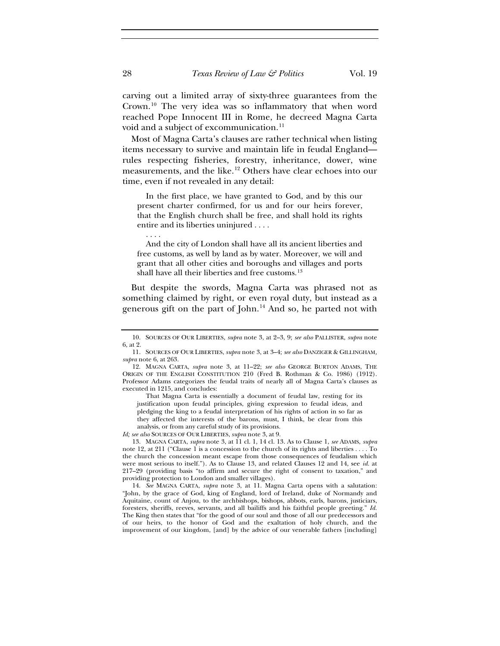carving out a limited array of sixty-three guarantees from the Crown.[10](#page-4-0) The very idea was so inflammatory that when word reached Pope Innocent III in Rome, he decreed Magna Carta void and a subject of excommunication.<sup>[11](#page-4-1)</sup>

Most of Magna Carta's clauses are rather technical when listing items necessary to survive and maintain life in feudal England rules respecting fisheries, forestry, inheritance, dower, wine measurements, and the like.<sup>[12](#page-4-2)</sup> Others have clear echoes into our time, even if not revealed in any detail:

In the first place, we have granted to God, and by this our present charter confirmed, for us and for our heirs forever, that the English church shall be free, and shall hold its rights entire and its liberties uninjured . . . .

And the city of London shall have all its ancient liberties and free customs, as well by land as by water. Moreover, we will and grant that all other cities and boroughs and villages and ports shall have all their liberties and free customs.<sup>[13](#page-4-3)</sup>

But despite the swords, Magna Carta was phrased not as something claimed by right, or even royal duty, but instead as a generous gift on the part of  $John.<sup>14</sup>$  $John.<sup>14</sup>$  $John.<sup>14</sup>$  And so, he parted not with

That Magna Carta is essentially a document of feudal law, resting for its justification upon feudal principles, giving expression to feudal ideas, and pledging the king to a feudal interpretation of his rights of action in so far as they affected the interests of the barons, must, I think, be clear from this analysis, or from any careful study of its provisions.

*Id; see also* SOURCES OF OUR LIBERTIES, *supra* note 3, at 9.

<span id="page-4-3"></span>13. MAGNA CARTA, *supra* note 3, at 11 cl. 1, 14 cl. 13. As to Clause 1, *see* ADAMS, *supra* note 12, at 211 ("Clause 1 is a concession to the church of its rights and liberties . . . . To the church the concession meant escape from those consequences of feudalism which were most serious to itself."). As to Clause 13, and related Clauses 12 and 14, see *id.* at 217–29 (providing basis "to affirm and secure the right of consent to taxation," and providing protection to London and smaller villages).

<span id="page-4-4"></span>14. *See* MAGNA CARTA, *supra* note 3, at 11. Magna Carta opens with a salutation: "John, by the grace of God, king of England, lord of Ireland, duke of Normandy and Aquitaine, count of Anjou, to the archbishops, bishops, abbots, earls, barons, justiciars, foresters, sheriffs, reeves, servants, and all bailiffs and his faithful people greeting." *Id.* The King then states that "for the good of our soul and those of all our predecessors and of our heirs, to the honor of God and the exaltation of holy church, and the improvement of our kingdom, [and] by the advice of our venerable fathers [including]

. . . .

<span id="page-4-0"></span><sup>10.</sup> SOURCES OF OUR LIBERTIES, *supra* note 3, at 2–3, 9; *see also* PALLISTER, *supra* note 6, at 2.

<span id="page-4-1"></span><sup>11.</sup> SOURCES OF OUR LIBERTIES, *supra* note 3, at 3–4; *see also* DANZIGER & GILLINGHAM*, supra* note 6, at 263.

<span id="page-4-2"></span><sup>12.</sup> MAGNA CARTA, *supra* note 3, at 11–22; *see also* GEORGE BURTON ADAMS, THE ORIGIN OF THE ENGLISH CONSTITUTION 210 (Fred B. Rothman & Co. 1986) (1912). Professor Adams categorizes the feudal traits of nearly all of Magna Carta's clauses as executed in 1215, and concludes: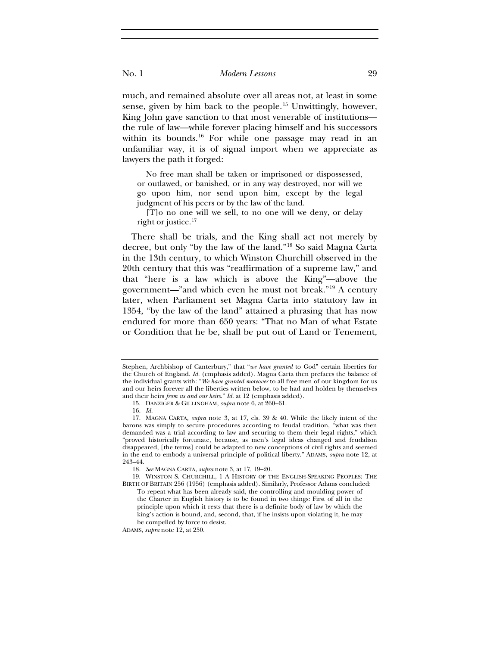much, and remained absolute over all areas not, at least in some sense, given by him back to the people.<sup>[15](#page-5-0)</sup> Unwittingly, however, King John gave sanction to that most venerable of institutions the rule of law—while forever placing himself and his successors within its bounds.<sup>[16](#page-5-1)</sup> For while one passage may read in an unfamiliar way, it is of signal import when we appreciate as lawyers the path it forged:

No free man shall be taken or imprisoned or dispossessed, or outlawed, or banished, or in any way destroyed, nor will we go upon him, nor send upon him, except by the legal judgment of his peers or by the law of the land.

[T]o no one will we sell, to no one will we deny, or delay right or justice. $17$ 

There shall be trials, and the King shall act not merely by decree, but only "by the law of the land."[18](#page-5-3) So said Magna Carta in the 13th century, to which Winston Churchill observed in the 20th century that this was "reaffirmation of a supreme law," and that "here is a law which is above the King"—above the government—"and which even he must not break."[19](#page-5-4) A century later, when Parliament set Magna Carta into statutory law in 1354, "by the law of the land" attained a phrasing that has now endured for more than 650 years: "That no Man of what Estate or Condition that he be, shall be put out of Land or Tenement,

ADAMS, *supra* note 12, at 250.

Stephen, Archbishop of Canterbury," that "*we have granted* to God" certain liberties for the Church of England. *Id.* (emphasis added). Magna Carta then prefaces the balance of the individual grants with: "*We have granted moreover* to all free men of our kingdom for us and our heirs forever all the liberties written below, to be had and holden by themselves and their heirs *from us and our heirs*." *Id.* at 12 (emphasis added).

<sup>15.</sup> DANZIGER & GILLINGHAM, *supra* note 6, at 260–61.

<sup>16.</sup> *Id.*

<span id="page-5-2"></span><span id="page-5-1"></span><span id="page-5-0"></span><sup>17.</sup> MAGNA CARTA, *supra* note 3, at 17, cls. 39 & 40. While the likely intent of the barons was simply to secure procedures according to feudal tradition, "what was then demanded was a trial according to law and securing to them their legal rights," which "proved historically fortunate, because, as men's legal ideas changed and feudalism disappeared, [the terms] could be adapted to new conceptions of civil rights and seemed in the end to embody a universal principle of political liberty." ADAMS, *supra* note 12, at 243–44.

<sup>18.</sup> *See* MAGNA CARTA, *supra* note 3, at 17, 19–20.

<span id="page-5-4"></span><span id="page-5-3"></span><sup>19.</sup> WINSTON S. CHURCHILL, 1 A HISTORY OF THE ENGLISH-SPEAKING PEOPLES: THE BIRTH OF BRITAIN 256 (1956) (emphasis added). Similarly, Professor Adams concluded:

To repeat what has been already said, the controlling and moulding power of the Charter in English history is to be found in two things: First of all in the principle upon which it rests that there is a definite body of law by which the king's action is bound, and, second, that, if he insists upon violating it, he may be compelled by force to desist.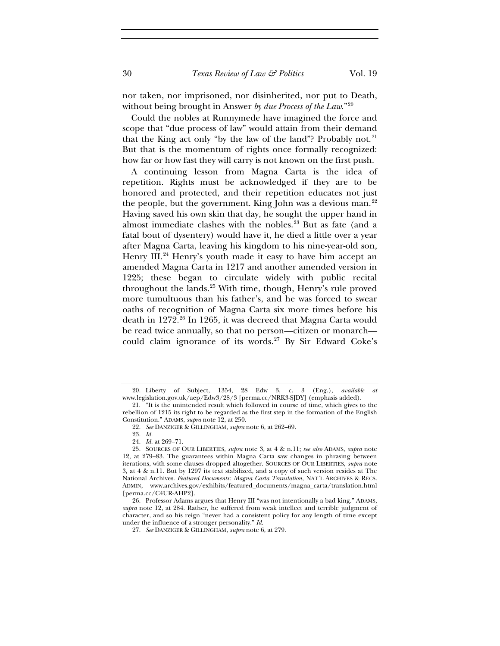nor taken, nor imprisoned, nor disinherited, nor put to Death, without being brought in Answer *by due Process of the Law*."[20](#page-6-0)

Could the nobles at Runnymede have imagined the force and scope that "due process of law" would attain from their demand that the King act only "by the law of the land"? Probably not. $21$ But that is the momentum of rights once formally recognized: how far or how fast they will carry is not known on the first push.

A continuing lesson from Magna Carta is the idea of repetition. Rights must be acknowledged if they are to be honored and protected, and their repetition educates not just the people, but the government. King John was a devious man.<sup>[22](#page-6-2)</sup> Having saved his own skin that day, he sought the upper hand in almost immediate clashes with the nobles.<sup>[23](#page-6-3)</sup> But as fate (and a fatal bout of dysentery) would have it, he died a little over a year after Magna Carta, leaving his kingdom to his nine-year-old son, Henry III.<sup>[24](#page-6-4)</sup> Henry's youth made it easy to have him accept an amended Magna Carta in 1217 and another amended version in 1225; these began to circulate widely with public recital throughout the lands.<sup>[25](#page-6-5)</sup> With time, though, Henry's rule proved more tumultuous than his father's, and he was forced to swear oaths of recognition of Magna Carta six more times before his death in 1272.<sup>[26](#page-6-6)</sup> In 1265, it was decreed that Magna Carta would be read twice annually, so that no person—citizen or monarch— could claim ignorance of its words.<sup>[27](#page-6-7)</sup> By Sir Edward Coke's

<span id="page-6-0"></span><sup>20.</sup> Liberty of Subject, 1354, 28 Edw 3, c. 3 (Eng.), *available at* www.legislation.gov.uk/aep/Edw3/28/3 [perma.cc/NRK3-SJDY] (emphasis added).

<span id="page-6-2"></span><span id="page-6-1"></span><sup>21.</sup> "It is the unintended result which followed in course of time, which gives to the rebellion of 1215 its right to be regarded as the first step in the formation of the English Constitution." ADAMS, *supra* note 12, at 250.

<sup>22.</sup> *See* DANZIGER & GILLINGHAM*, supra* note 6, at 262–69.

<sup>23.</sup> *Id.*

<sup>24.</sup> *Id.* at 269–71.

<span id="page-6-5"></span><span id="page-6-4"></span><span id="page-6-3"></span><sup>25.</sup> SOURCES OF OUR LIBERTIES, *supra* note 3, at 4 & n.11; *see also* ADAMS, *supra* note 12, at 279–83. The guarantees within Magna Carta saw changes in phrasing between iterations, with some clauses dropped altogether. SOURCES OF OUR LIBERTIES, *supra* note 3, at 4 & n.11. But by 1297 its text stabilized, and a copy of such version resides at The National Archives. *Featured Documents: Magna Carta Translation*, NAT'L ARCHIVES & RECS. ADMIN, www.archives.gov/exhibits/featured\_documents/magna\_carta/translation.html [perma.cc/C4UR-AHP2]*.*

<span id="page-6-7"></span><span id="page-6-6"></span><sup>26.</sup> Professor Adams argues that Henry III "was not intentionally a bad king." ADAMS, *supra* note 12, at 284. Rather, he suffered from weak intellect and terrible judgment of character, and so his reign "never had a consistent policy for any length of time except under the influence of a stronger personality." *Id*.

<sup>27.</sup> *See* DANZIGER & GILLINGHAM*, supra* note 6, at 279.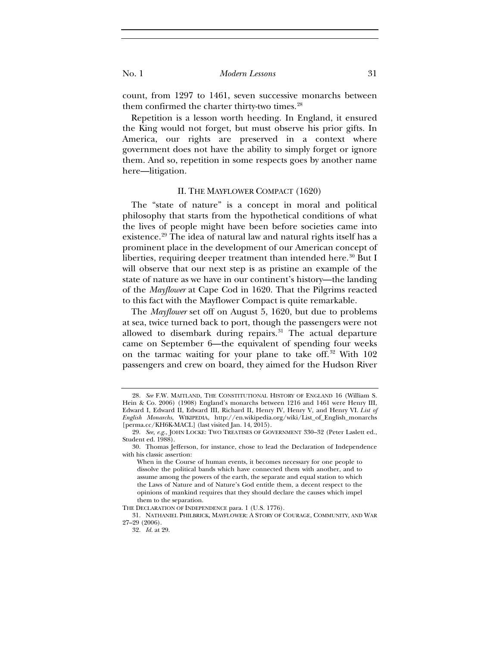count, from 1297 to 1461, seven successive monarchs between them confirmed the charter thirty-two times.<sup>[28](#page-7-0)</sup>

Repetition is a lesson worth heeding. In England, it ensured the King would not forget, but must observe his prior gifts. In America, our rights are preserved in a context where government does not have the ability to simply forget or ignore them. And so, repetition in some respects goes by another name here—litigation.

#### II. THE MAYFLOWER COMPACT (1620)

The "state of nature" is a concept in moral and political philosophy that starts from the hypothetical conditions of what the lives of people might have been before societies came into existence.<sup>[29](#page-7-1)</sup> The idea of natural law and natural rights itself has a prominent place in the development of our American concept of liberties, requiring deeper treatment than intended here.<sup>[30](#page-7-2)</sup> But I will observe that our next step is as pristine an example of the state of nature as we have in our continent's history—the landing of the *Mayflower* at Cape Cod in 1620. That the Pilgrims reacted to this fact with the Mayflower Compact is quite remarkable.

The *Mayflower* set off on August 5, 1620, but due to problems at sea, twice turned back to port, though the passengers were not allowed to disembark during repairs. $31$  The actual departure came on September 6—the equivalent of spending four weeks on the tarmac waiting for your plane to take off.<sup>[32](#page-7-4)</sup> With 102 passengers and crew on board, they aimed for the Hudson River

<span id="page-7-0"></span><sup>28.</sup> *See* F.W. MAITLAND, THE CONSTITUTIONAL HISTORY OF ENGLAND 16 (William S. Hein & Co. 2006) (1908) England's monarchs between 1216 and 1461 were Henry III, Edward I, Edward II, Edward III, Richard II, Henry IV, Henry V, and Henry VI. *List of English Monarchs*, WIKIPEDIA, http://en.wikipedia.org/wiki/List\_of\_English\_monarchs [perma.cc/KH6K-MACL] (last visited Jan. 14, 2015).

<span id="page-7-1"></span><sup>29.</sup> *See, e.g.*, JOHN LOCKE: TWO TREATISES OF GOVERNMENT 330–32 (Peter Laslett ed., Student ed. 1988).

<span id="page-7-2"></span><sup>30.</sup> Thomas Jefferson, for instance, chose to lead the Declaration of Independence with his classic assertion:

When in the Course of human events, it becomes necessary for one people to dissolve the political bands which have connected them with another, and to assume among the powers of the earth, the separate and equal station to which the Laws of Nature and of Nature's God entitle them, a decent respect to the opinions of mankind requires that they should declare the causes which impel them to the separation.

THE DECLARATION OF INDEPENDENCE para. 1 (U.S. 1776).

<span id="page-7-4"></span><span id="page-7-3"></span><sup>31.</sup> NATHANIEL PHILBRICK, MAYFLOWER: A STORY OF COURAGE, COMMUNITY, AND WAR 27–29 (2006).

<sup>32.</sup> *Id.* at 29.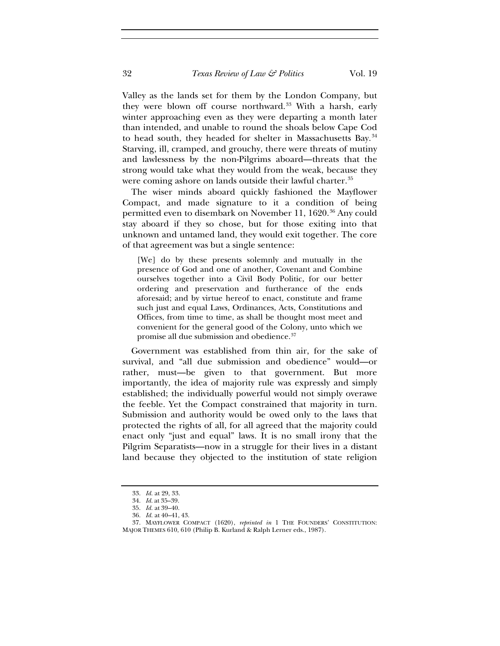Valley as the lands set for them by the London Company, but they were blown off course northward.<sup>[33](#page-8-0)</sup> With a harsh, early winter approaching even as they were departing a month later than intended, and unable to round the shoals below Cape Cod to head south, they headed for shelter in Massachusetts Bay.<sup>[34](#page-8-1)</sup> Starving, ill, cramped, and grouchy, there were threats of mutiny and lawlessness by the non-Pilgrims aboard—threats that the strong would take what they would from the weak, because they were coming ashore on lands outside their lawful charter.<sup>[35](#page-8-2)</sup>

The wiser minds aboard quickly fashioned the Mayflower Compact, and made signature to it a condition of being permitted even to disembark on November 11, 1620.<sup>[36](#page-8-3)</sup> Any could stay aboard if they so chose, but for those exiting into that unknown and untamed land, they would exit together. The core of that agreement was but a single sentence:

[We] do by these presents solemnly and mutually in the presence of God and one of another, Covenant and Combine ourselves together into a Civil Body Politic, for our better ordering and preservation and furtherance of the ends aforesaid; and by virtue hereof to enact, constitute and frame such just and equal Laws, Ordinances, Acts, Constitutions and Offices, from time to time, as shall be thought most meet and convenient for the general good of the Colony, unto which we promise all due submission and obedience.[37](#page-8-4)

Government was established from thin air, for the sake of survival, and "all due submission and obedience" would—or rather, must—be given to that government. But more importantly, the idea of majority rule was expressly and simply established; the individually powerful would not simply overawe the feeble. Yet the Compact constrained that majority in turn. Submission and authority would be owed only to the laws that protected the rights of all, for all agreed that the majority could enact only "just and equal" laws. It is no small irony that the Pilgrim Separatists—now in a struggle for their lives in a distant land because they objected to the institution of state religion

<sup>33.</sup> *Id.* at 29, 33.

<sup>34.</sup> *Id.* at 35–39.

<sup>35.</sup> *Id.* at 39–40.

<sup>36.</sup> *Id.* at 40–41, 43.

<span id="page-8-4"></span><span id="page-8-3"></span><span id="page-8-2"></span><span id="page-8-1"></span><span id="page-8-0"></span><sup>37.</sup> MAYFLOWER COMPACT (1620), *reprinted in* 1 THE FOUNDERS' CONSTITUTION: MAJOR THEMES 610, 610 (Philip B. Kurland & Ralph Lerner eds., 1987).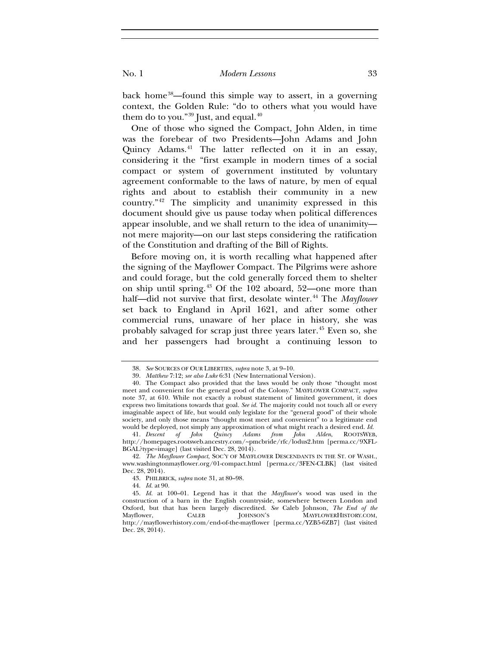back home[38](#page-9-0)—found this simple way to assert, in a governing context, the Golden Rule: "do to others what you would have them do to you." $39$  Just, and equal. $40$ 

One of those who signed the Compact, John Alden, in time was the forebear of two Presidents—John Adams and John Quincy Adams.[41](#page-9-3) The latter reflected on it in an essay, considering it the "first example in modern times of a social compact or system of government instituted by voluntary agreement conformable to the laws of nature, by men of equal rights and about to establish their community in a new country."[42](#page-9-4) The simplicity and unanimity expressed in this document should give us pause today when political differences appear insoluble, and we shall return to the idea of unanimity not mere majority—on our last steps considering the ratification of the Constitution and drafting of the Bill of Rights.

Before moving on, it is worth recalling what happened after the signing of the Mayflower Compact. The Pilgrims were ashore and could forage, but the cold generally forced them to shelter on ship until spring.[43](#page-9-5) Of the 102 aboard, 52—one more than half—did not survive that first, desolate winter.<sup>[44](#page-9-6)</sup> The *Mayflower* set back to England in April 1621, and after some other commercial runs, unaware of her place in history, she was probably salvaged for scrap just three years later.[45](#page-9-7) Even so, she and her passengers had brought a continuing lesson to

<sup>38.</sup> *See* SOURCES OF OUR LIBERTIES, *supra* note 3, at 9–10.

<sup>39.</sup> *Matthew* 7:12; *see also Luke* 6:31 (New International Version).

<span id="page-9-2"></span><span id="page-9-1"></span><span id="page-9-0"></span><sup>40.</sup> The Compact also provided that the laws would be only those "thought most meet and convenient for the general good of the Colony." MAYFLOWER COMPACT, *supra* note 37, at 610. While not exactly a robust statement of limited government, it does express two limitations towards that goal. *See id.* The majority could not touch all or every imaginable aspect of life, but would only legislate for the "general good" of their whole society, and only those means "thought most meet and convenient" to a legitimate end would be deployed, not simply any approximation of what might reach a desired end. *Id.*

<span id="page-9-3"></span><sup>41.</sup> *Descent of John Quincy Adams from John Alden*, ROOTSWEB, http://homepages.rootsweb.ancestry.com/~pmcbride/rfc/lodus2.htm [perma.cc/9XFL-BGAL?type=image] (last visited Dec. 28, 2014).

<span id="page-9-4"></span><sup>42.</sup> *The Mayflower Compact*, SOC'Y OF MAYFLOWER DESCENDANTS IN THE ST. OF WASH., www.washingtonmayflower.org/01-compact.html [perma.cc/3FEN-CLBK] (last visited Dec. 28, 2014).

<sup>43.</sup> PHILBRICK, *supra* note 31, at 80–98.

<sup>44.</sup> *Id.* at 90.

<span id="page-9-7"></span><span id="page-9-6"></span><span id="page-9-5"></span><sup>45.</sup> *Id.* at 100–01. Legend has it that the *Mayflower*'s wood was used in the construction of a barn in the English countryside, somewhere between London and Oxford, but that has been largely discredited. *See* Caleb Johnson, *The End of the*  Mayflower, CALEB JOHNSON'S MAYFLOWERHISTORY.COM, http://mayflowerhistory.com/end-of-the-mayflower [perma.cc/YZB5-6ZB7] (last visited Dec. 28, 2014).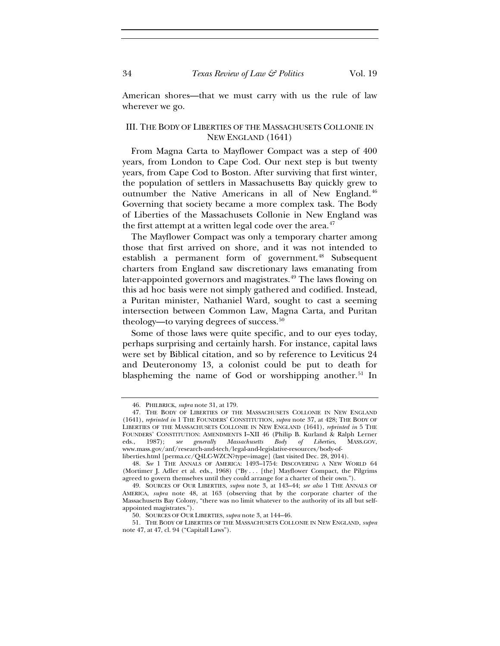American shores—that we must carry with us the rule of law wherever we go.

## III. THE BODY OF LIBERTIES OF THE MASSACHUSETS COLLONIE IN NEW ENGLAND (1641)

From Magna Carta to Mayflower Compact was a step of 400 years, from London to Cape Cod. Our next step is but twenty years, from Cape Cod to Boston. After surviving that first winter, the population of settlers in Massachusetts Bay quickly grew to outnumber the Native Americans in all of New England.<sup>[46](#page-10-0)</sup> Governing that society became a more complex task. The Body of Liberties of the Massachusets Collonie in New England was the first attempt at a written legal code over the area. $47$ 

The Mayflower Compact was only a temporary charter among those that first arrived on shore, and it was not intended to establish a permanent form of government.<sup>[48](#page-10-2)</sup> Subsequent charters from England saw discretionary laws emanating from later-appointed governors and magistrates.<sup>[49](#page-10-3)</sup> The laws flowing on this ad hoc basis were not simply gathered and codified. Instead, a Puritan minister, Nathaniel Ward, sought to cast a seeming intersection between Common Law, Magna Carta, and Puritan theology—to varying degrees of success.<sup>[50](#page-10-4)</sup>

Some of those laws were quite specific, and to our eyes today, perhaps surprising and certainly harsh. For instance, capital laws were set by Biblical citation, and so by reference to Leviticus 24 and Deuteronomy 13, a colonist could be put to death for blaspheming the name of God or worshipping another.<sup>[51](#page-10-5)</sup> In

<sup>46.</sup> PHILBRICK, *supra* note 31, at 179.

<span id="page-10-1"></span><span id="page-10-0"></span><sup>47.</sup> THE BODY OF LIBERTIES OF THE MASSACHUSETS COLLONIE IN NEW ENGLAND (1641), *reprinted in* 1 THE FOUNDERS' CONSTITUTION, *supra* note 37, at 428; THE BODY OF LIBERTIES OF THE MASSACHUSETS COLLONIE IN NEW ENGLAND (1641), *reprinted in* 5 THE FOUNDERS' CONSTITUTION: AMENDMENTS I–XII 46 (Philip B. Kurland & Ralph Lerner eds., 1987); *see generally Massachusetts Body of Liberties*, MASS.GOV, www.mass.gov/anf/research-and-tech/legal-and-legislative-resources/body-of-

liberties.html [perma.cc/Q4LC-WZCN?type=image] (last visited Dec. 28, 2014).

<span id="page-10-2"></span><sup>48.</sup> *See* 1 THE ANNALS OF AMERICA: 1493–1754: DISCOVERING A NEW WORLD 64 (Mortimer J. Adler et al. eds., 1968) ("By . . . [the] Mayflower Compact, the Pilgrims agreed to govern themselves until they could arrange for a charter of their own.").

<span id="page-10-3"></span><sup>49.</sup> SOURCES OF OUR LIBERTIES, *supra* note 3, at 143–44; *see also* 1 THE ANNALS OF AMERICA, *supra* note 48, at 163 (observing that by the corporate charter of the Massachusetts Bay Colony, "there was no limit whatever to the authority of its all but selfappointed magistrates.").

<sup>50.</sup> SOURCES OF OUR LIBERTIES, *supra* note 3, at 144–46.

<span id="page-10-5"></span><span id="page-10-4"></span><sup>51.</sup> THE BODY OF LIBERTIES OF THE MASSACHUSETS COLLONIE IN NEW ENGLAND, *supra* note 47, at 47, cl. 94 ("Capitall Laws").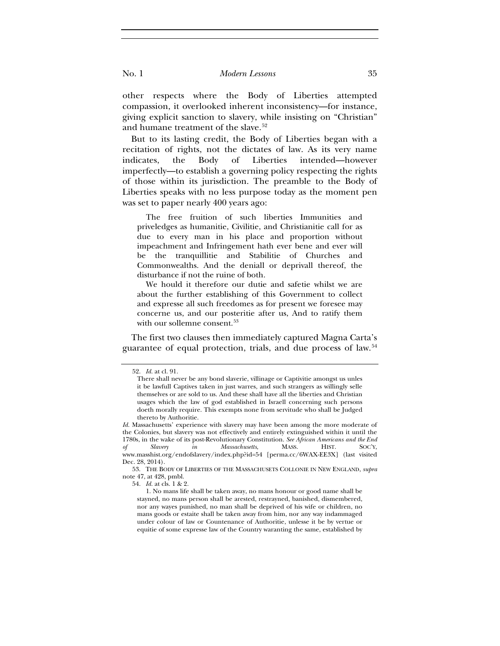other respects where the Body of Liberties attempted compassion, it overlooked inherent inconsistency—for instance, giving explicit sanction to slavery, while insisting on "Christian" and humane treatment of the slave.<sup>[52](#page-11-0)</sup>

But to its lasting credit, the Body of Liberties began with a recitation of rights, not the dictates of law. As its very name indicates, the Body of Liberties intended—however imperfectly—to establish a governing policy respecting the rights of those within its jurisdiction. The preamble to the Body of Liberties speaks with no less purpose today as the moment pen was set to paper nearly 400 years ago:

The free fruition of such liberties Immunities and priveledges as humanitie, Civilitie, and Christianitie call for as due to every man in his place and proportion without impeachment and Infringement hath ever bene and ever will be the tranquillitie and Stabilitie of Churches and Commonwealths. And the deniall or deprivall thereof, the disturbance if not the ruine of both.

We hould it therefore our dutie and safetie whilst we are about the further establishing of this Government to collect and expresse all such freedomes as for present we foresee may concerne us, and our posteritie after us, And to ratify them with our sollemne consent.<sup>[53](#page-11-1)</sup>

<span id="page-11-0"></span>The first two clauses then immediately captured Magna Carta's guarantee of equal protection, trials, and due process of law.[54](#page-11-2)

<sup>52.</sup> *Id.* at cl. 91.

There shall never be any bond slaverie, villinage or Captivitie amongst us unles it be lawfull Captives taken in just warres, and such strangers as willingly selle themselves or are sold to us. And these shall have all the liberties and Christian usages which the law of god established in Israell concerning such persons doeth morally require. This exempts none from servitude who shall be Judged thereto by Authoritie.

*Id.* Massachusetts' experience with slavery may have been among the more moderate of the Colonies, but slavery was not effectively and entirely extinguished within it until the 1780s, in the wake of its post-Revolutionary Constitution. *See African Americans and the End of Slavery in Massachusetts*, MASS. HIST. SOC'Y, www.masshist.org/endofslavery/index.php?id=54 [perma.cc/6WAX-EE3X] (last visited Dec. 28, 2014).

<span id="page-11-2"></span><span id="page-11-1"></span><sup>53.</sup> THE BODY OF LIBERTIES OF THE MASSACHUSETS COLLONIE IN NEW ENGLAND, *supra* note 47, at 428, pmbl.

<sup>54.</sup> *Id.* at cls. 1 & 2.

<sup>1.</sup> No mans life shall be taken away, no mans honour or good name shall be stayned, no mans person shall be arested, restrayned, banished, dismembered, nor any wayes punished, no man shall be deprived of his wife or children, no mans goods or estaite shall be taken away from him, nor any way indammaged under colour of law or Countenance of Authoritie, unlesse it be by vertue or equitie of some expresse law of the Country waranting the same, established by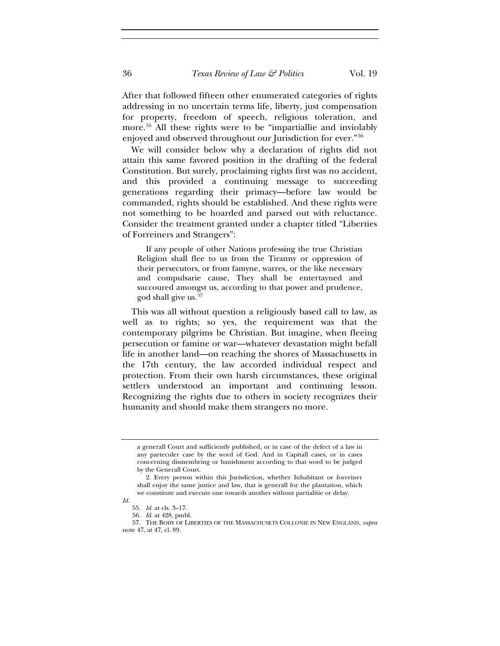After that followed fifteen other enumerated categories of rights addressing in no uncertain terms life, liberty, just compensation for property, freedom of speech, religious toleration, and more.<sup>[55](#page-12-0)</sup> All these rights were to be "impartiallie and inviolably enjoyed and observed throughout our Jurisdiction for ever."[56](#page-12-1)

We will consider below why a declaration of rights did not attain this same favored position in the drafting of the federal Constitution. But surely, proclaiming rights first was no accident, and this provided a continuing message to succeeding generations regarding their primacy—before law would be commanded, rights should be established. And these rights were not something to be hoarded and parsed out with reluctance. Consider the treatment granted under a chapter titled "Liberties of Forreiners and Strangers":

If any people of other Nations professing the true Christian Religion shall flee to us from the Tiranny or oppression of their persecutors, or from famyne, warres, or the like necessary and compulsarie cause, They shall be entertayned and succoured amongst us, according to that power and prudence, god shall give us.[57](#page-12-2)

This was all without question a religiously based call to law, as well as to rights; so yes, the requirement was that the contemporary pilgrims be Christian. But imagine, when fleeing persecution or famine or war—whatever devastation might befall life in another land—on reaching the shores of Massachusetts in the 17th century, the law accorded individual respect and protection. From their own harsh circumstances, these original settlers understood an important and continuing lesson. Recognizing the rights due to others in society recognizes their humanity and should make them strangers no more.

a generall Court and sufficiently published, or in case of the defect of a law in any parteculer case by the word of God. And in Capitall cases, or in cases concerning dismembring or banishment according to that word to be judged by the Generall Court.

<sup>2.</sup> Every person within this Jurisdiction, whether Inhabitant or forreiner shall enjoy the same justice and law, that is generall for the plantation, which we constitute and execute one towards another without partialitie or delay.

<span id="page-12-0"></span>*Id.*

<sup>55.</sup> *Id.* at cls. 3–17. 56. *Id.* at 428, pmbl.

<span id="page-12-2"></span><span id="page-12-1"></span><sup>57.</sup> THE BODY OF LIBERTIES OF THE MASSACHUSETS COLLONIE IN NEW ENGLAND, *supra* note 47, at 47, cl. 89.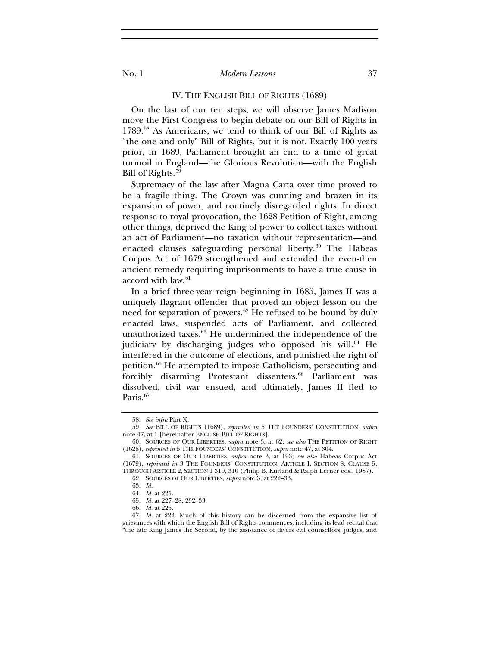#### IV. THE ENGLISH BILL OF RIGHTS (1689)

On the last of our ten steps, we will observe James Madison move the First Congress to begin debate on our Bill of Rights in 1789.[58](#page-13-0) As Americans, we tend to think of our Bill of Rights as "the one and only" Bill of Rights, but it is not. Exactly 100 years prior, in 1689, Parliament brought an end to a time of great turmoil in England—the Glorious Revolution—with the English Bill of Rights.<sup>[59](#page-13-1)</sup>

Supremacy of the law after Magna Carta over time proved to be a fragile thing. The Crown was cunning and brazen in its expansion of power, and routinely disregarded rights. In direct response to royal provocation, the 1628 Petition of Right, among other things, deprived the King of power to collect taxes without an act of Parliament—no taxation without representation—and enacted clauses safeguarding personal liberty. $60$  The Habeas Corpus Act of 1679 strengthened and extended the even-then ancient remedy requiring imprisonments to have a true cause in accord with law.<sup>[61](#page-13-3)</sup>

In a brief three-year reign beginning in 1685, James II was a uniquely flagrant offender that proved an object lesson on the need for separation of powers.<sup>[62](#page-13-4)</sup> He refused to be bound by duly enacted laws, suspended acts of Parliament, and collected unauthorized taxes.<sup>[63](#page-13-5)</sup> He undermined the independence of the judiciary by discharging judges who opposed his will.<sup>[64](#page-13-6)</sup> He interfered in the outcome of elections, and punished the right of petition.[65](#page-13-7) He attempted to impose Catholicism, persecuting and forcibly disarming Protestant dissenters.<sup>[66](#page-13-8)</sup> Parliament was dissolved, civil war ensued, and ultimately, James II fled to Paris.<sup>[67](#page-13-9)</sup>

<sup>58.</sup> *See infra* Part X.

<span id="page-13-1"></span><span id="page-13-0"></span><sup>59.</sup> *See* BILL OF RIGHTS (1689), *reprinted in* 5 THE FOUNDERS' CONSTITUTION, *supra* note 47, at 1 [hereinafter ENGLISH BILL OF RIGHTS].

<sup>60.</sup> SOURCES OF OUR LIBERTIES, *supra* note 3, at 62; *see also* THE PETITION OF RIGHT (1628), *reprinted in* 5 THE FOUNDERS' CONSTITUTION, *supra* note 47, at 304.

<span id="page-13-5"></span><span id="page-13-4"></span><span id="page-13-3"></span><span id="page-13-2"></span><sup>61.</sup> SOURCES OF OUR LIBERTIES, *supra* note 3, at 193*; see also* Habeas Corpus Act (1679), *reprinted in* 3 THE FOUNDERS' CONSTITUTION: ARTICLE I, SECTION 8, CLAUSE 5, THROUGH ARTICLE 2, SECTION 1 310, 310 (Philip B. Kurland & Ralph Lerner eds., 1987).

<sup>62.</sup> SOURCES OF OUR LIBERTIES, *supra* note 3, at 222–33.

<sup>63.</sup> *Id.*

<sup>64.</sup> *Id.* at 225.

<sup>65.</sup> *Id.* at 227–28, 232–33.

<sup>66.</sup> *Id.* at 225.

<span id="page-13-9"></span><span id="page-13-8"></span><span id="page-13-7"></span><span id="page-13-6"></span><sup>67.</sup> *Id.* at 222. Much of this history can be discerned from the expansive list of grievances with which the English Bill of Rights commences, including its lead recital that "the late King James the Second, by the assistance of divers evil counsellors, judges, and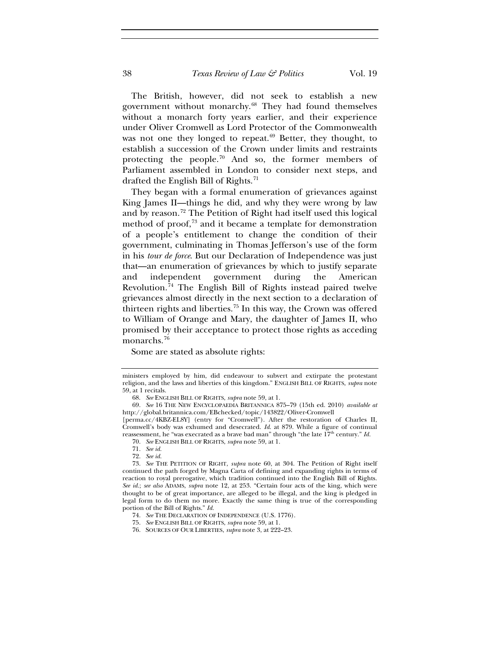The British, however, did not seek to establish a new government without monarchy.<sup>[68](#page-14-0)</sup> They had found themselves without a monarch forty years earlier, and their experience under Oliver Cromwell as Lord Protector of the Commonwealth was not one they longed to repeat.<sup>[69](#page-14-1)</sup> Better, they thought, to establish a succession of the Crown under limits and restraints protecting the people.[70](#page-14-2) And so, the former members of Parliament assembled in London to consider next steps, and drafted the English Bill of Rights.<sup>[71](#page-14-3)</sup>

They began with a formal enumeration of grievances against King James II—things he did, and why they were wrong by law and by reason.[72](#page-14-4) The Petition of Right had itself used this logical method of proof, $73$  and it became a template for demonstration of a people's entitlement to change the condition of their government, culminating in Thomas Jefferson's use of the form in his *tour de force*. But our Declaration of Independence was just that—an enumeration of grievances by which to justify separate and independent government during the American Revolution.[74](#page-14-6) The English Bill of Rights instead paired twelve grievances almost directly in the next section to a declaration of thirteen rights and liberties.[75](#page-14-7) In this way, the Crown was offered to William of Orange and Mary, the daughter of James II, who promised by their acceptance to protect those rights as acceding monarchs.<sup>[76](#page-14-8)</sup>

Some are stated as absolute rights:

ministers employed by him, did endeavour to subvert and extirpate the protestant religion, and the laws and liberties of this kingdom." ENGLISH BILL OF RIGHTS, *supra* note 59, at 1 recitals.

<sup>68.</sup> *See* ENGLISH BILL OF RIGHTS, *supra* note 59, at 1.

<span id="page-14-1"></span><span id="page-14-0"></span><sup>69.</sup> *See* 16 THE NEW ENCYCLOPAEDIA BRITANNICA 875–79 (15th ed. 2010) *available at*  http://global.britannica.com/EBchecked/topic/143822/Oliver-Cromwell

<sup>[</sup>perma.cc/4KBZ-EL8Y] (entry for "Cromwell"). After the restoration of Charles II, Cromwell's body was exhumed and desecrated. *Id*. at 879. While a figure of continual reassessment, he "was execrated as a brave bad man" through "the late  $17<sup>th</sup>$  century." *Id.* 

<sup>70.</sup> *See* ENGLISH BILL OF RIGHTS, *supra* note 59, at 1.

<sup>71.</sup> *See id.*

<sup>72.</sup> *See id.*

<span id="page-14-5"></span><span id="page-14-4"></span><span id="page-14-3"></span><span id="page-14-2"></span><sup>73.</sup> *See* THE PETITION OF RIGHT, *supra* note 60, at 304. The Petition of Right itself continued the path forged by Magna Carta of defining and expanding rights in terms of reaction to royal prerogative, which tradition continued into the English Bill of Rights. *See id.*; *see also* ADAMS, *supra* note 12, at 253. "Certain four acts of the king, which were thought to be of great importance, are alleged to be illegal, and the king is pledged in legal form to do them no more. Exactly the same thing is true of the corresponding portion of the Bill of Rights." *Id.*

<span id="page-14-6"></span><sup>74.</sup> *See* THE DECLARATION OF INDEPENDENCE (U.S. 1776).

<span id="page-14-7"></span><sup>75.</sup> *See* ENGLISH BILL OF RIGHTS, *supra* note 59, at 1.

<span id="page-14-8"></span><sup>76.</sup> SOURCES OF OUR LIBERTIES, *supra* note 3, at 222–23.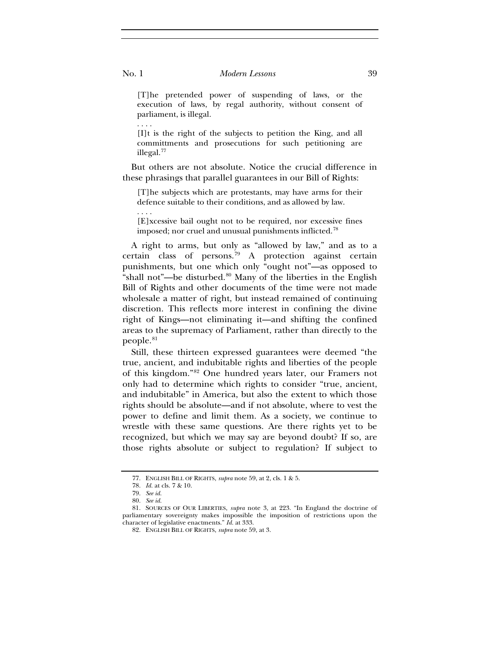[T]he pretended power of suspending of laws, or the execution of laws, by regal authority, without consent of parliament, is illegal.

[I]t is the right of the subjects to petition the King, and all committments and prosecutions for such petitioning are illegal.[77](#page-15-0)

But others are not absolute. Notice the crucial difference in these phrasings that parallel guarantees in our Bill of Rights:

[T]he subjects which are protestants, may have arms for their defence suitable to their conditions, and as allowed by law.

[E]xcessive bail ought not to be required, nor excessive fines imposed; nor cruel and unusual punishments inflicted.<sup>[78](#page-15-1)</sup>

A right to arms, but only as "allowed by law," and as to a certain class of persons.[79](#page-15-2) A protection against certain punishments, but one which only "ought not"—as opposed to "shall not"—be disturbed.<sup>[80](#page-15-3)</sup> Many of the liberties in the English Bill of Rights and other documents of the time were not made wholesale a matter of right, but instead remained of continuing discretion. This reflects more interest in confining the divine right of Kings—not eliminating it—and shifting the confined areas to the supremacy of Parliament, rather than directly to the people.<sup>[81](#page-15-4)</sup>

Still, these thirteen expressed guarantees were deemed "the true, ancient, and indubitable rights and liberties of the people of this kingdom."[82](#page-15-5) One hundred years later, our Framers not only had to determine which rights to consider "true, ancient, and indubitable" in America, but also the extent to which those rights should be absolute—and if not absolute, where to vest the power to define and limit them. As a society, we continue to wrestle with these same questions. Are there rights yet to be recognized, but which we may say are beyond doubt? If so, are those rights absolute or subject to regulation? If subject to

. . . .

. . . .

<sup>77.</sup> ENGLISH BILL OF RIGHTS, *supra* note 59, at 2, cls. 1 & 5.

<sup>78.</sup> *Id.* at cls. 7 & 10.

<sup>79.</sup> *See id.*

<sup>80.</sup> *See id.*

<span id="page-15-5"></span><span id="page-15-4"></span><span id="page-15-3"></span><span id="page-15-2"></span><span id="page-15-1"></span><span id="page-15-0"></span><sup>81.</sup> SOURCES OF OUR LIBERTIES, *supra* note 3, at 223. "In England the doctrine of parliamentary sovereignty makes impossible the imposition of restrictions upon the character of legislative enactments." *Id.* at 333.

<sup>82.</sup> ENGLISH BILL OF RIGHTS, *supra* note 59, at 3.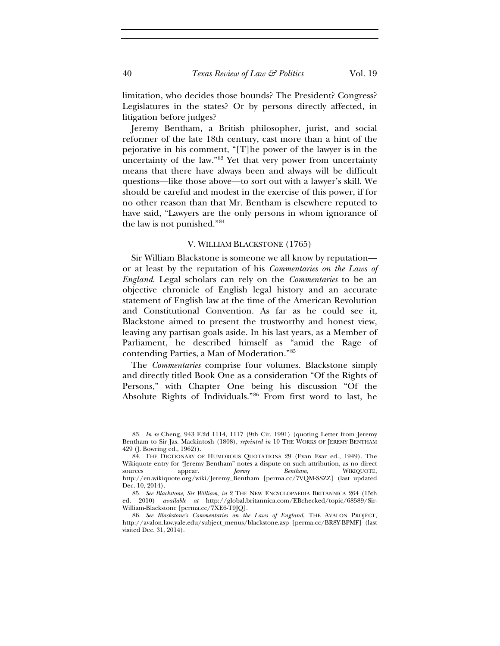limitation, who decides those bounds? The President? Congress? Legislatures in the states? Or by persons directly affected, in litigation before judges?

Jeremy Bentham, a British philosopher, jurist, and social reformer of the late 18th century, cast more than a hint of the pejorative in his comment, "[T]he power of the lawyer is in the uncertainty of the law."[83](#page-16-0) Yet that very power from uncertainty means that there have always been and always will be difficult questions—like those above—to sort out with a lawyer's skill. We should be careful and modest in the exercise of this power, if for no other reason than that Mr. Bentham is elsewhere reputed to have said, "Lawyers are the only persons in whom ignorance of the law is not punished."[84](#page-16-1)

#### V. WILLIAM BLACKSTONE (1765)

Sir William Blackstone is someone we all know by reputation or at least by the reputation of his *Commentaries on the Laws of England*. Legal scholars can rely on the *Commentaries* to be an objective chronicle of English legal history and an accurate statement of English law at the time of the American Revolution and Constitutional Convention. As far as he could see it, Blackstone aimed to present the trustworthy and honest view, leaving any partisan goals aside. In his last years, as a Member of Parliament, he described himself as "amid the Rage of contending Parties, a Man of Moderation."[85](#page-16-2)

The *Commentaries* comprise four volumes. Blackstone simply and directly titled Book One as a consideration "Of the Rights of Persons," with Chapter One being his discussion "Of the Absolute Rights of Individuals."[86](#page-16-3) From first word to last, he

<span id="page-16-0"></span><sup>83.</sup> *In re* Cheng, 943 F.2d 1114, 1117 (9th Cir. 1991) (quoting Letter from Jeremy Bentham to Sir Jas. Mackintosh (1808), *reprinted in* 10 THE WORKS OF JEREMY BENTHAM 429 (J. Bowring ed., 1962)).

<span id="page-16-1"></span><sup>84.</sup> THE DICTIONARY OF HUMOROUS QUOTATIONS 29 (Evan Esar ed., 1949). The Wikiquote entry for "Jeremy Bentham" notes a dispute on such attribution, as no direct sources appear. *Jeremy Bentham*, WIKIQUOTE, http://en.wikiquote.org/wiki/Jeremy\_Bentham [perma.cc/7VQM-SSZZ] (last updated Dec. 10, 2014).

<span id="page-16-2"></span><sup>85.</sup> *See Blackstone, Sir William*, *in* 2 THE NEW ENCYCLOPAEDIA BRITANNICA 264 (15th ed. 2010) *available at* http://global.britannica.com/EBchecked/topic/68589/Sir-William-Blackstone [perma.cc/7XE6-T9JQ].

<span id="page-16-3"></span><sup>86.</sup> *See Blackstone's Commentaries on the Laws of England*, THE AVALON PROJECT, http://avalon.law.yale.edu/subject\_menus/blackstone.asp [perma.cc/BR8Y-BPMF] (last visited Dec. 31, 2014).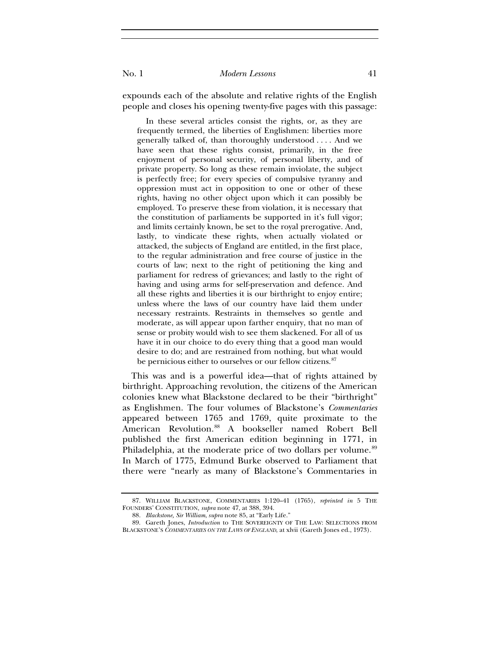expounds each of the absolute and relative rights of the English people and closes his opening twenty-five pages with this passage:

In these several articles consist the rights, or, as they are frequently termed, the liberties of Englishmen: liberties more generally talked of, than thoroughly understood . . . . And we have seen that these rights consist, primarily, in the free enjoyment of personal security, of personal liberty, and of private property. So long as these remain inviolate, the subject is perfectly free; for every species of compulsive tyranny and oppression must act in opposition to one or other of these rights, having no other object upon which it can possibly be employed. To preserve these from violation, it is necessary that the constitution of parliaments be supported in it's full vigor; and limits certainly known, be set to the royal prerogative. And, lastly, to vindicate these rights, when actually violated or attacked, the subjects of England are entitled, in the first place, to the regular administration and free course of justice in the courts of law; next to the right of petitioning the king and parliament for redress of grievances; and lastly to the right of having and using arms for self-preservation and defence. And all these rights and liberties it is our birthright to enjoy entire; unless where the laws of our country have laid them under necessary restraints. Restraints in themselves so gentle and moderate, as will appear upon farther enquiry, that no man of sense or probity would wish to see them slackened. For all of us have it in our choice to do every thing that a good man would desire to do; and are restrained from nothing, but what would be pernicious either to ourselves or our fellow citizens.<sup>[87](#page-17-0)</sup>

This was and is a powerful idea—that of rights attained by birthright. Approaching revolution, the citizens of the American colonies knew what Blackstone declared to be their "birthright" as Englishmen. The four volumes of Blackstone's *Commentaries* appeared between 1765 and 1769, quite proximate to the American Revolution.<sup>[88](#page-17-1)</sup> A bookseller named Robert Bell published the first American edition beginning in 1771, in Philadelphia, at the moderate price of two dollars per volume.<sup>[89](#page-17-2)</sup> In March of 1775, Edmund Burke observed to Parliament that there were "nearly as many of Blackstone's Commentaries in

<span id="page-17-0"></span><sup>87.</sup> WILLIAM BLACKSTONE, COMMENTARIES 1:120–41 (1765), *reprinted in* 5 THE FOUNDERS' CONSTITUTION, *supra* note 47, at 388, 394.

<sup>88.</sup> *Blackstone, Sir William*, *supra* note 85, at "Early Life."

<span id="page-17-2"></span><span id="page-17-1"></span><sup>89.</sup> Gareth Jones, *Introduction* to THE SOVEREIGNTY OF THE LAW: SELECTIONS FROM BLACKSTONE'S *COMMENTARIES ON THE LAWS OF ENGLAND*, at xlvii (Gareth Jones ed., 1973).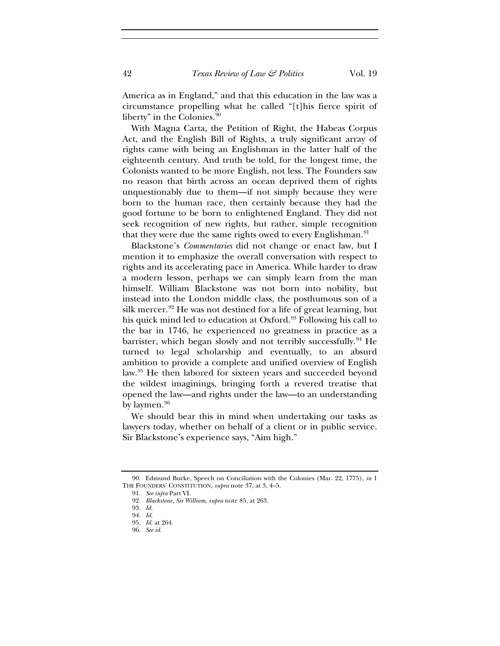America as in England," and that this education in the law was a circumstance propelling what he called "[t]his fierce spirit of liberty" in the Colonies.<sup>[90](#page-18-0)</sup>

With Magna Carta, the Petition of Right, the Habeas Corpus Act, and the English Bill of Rights, a truly significant array of rights came with being an Englishman in the latter half of the eighteenth century. And truth be told, for the longest time, the Colonists wanted to be more English, not less. The Founders saw no reason that birth across an ocean deprived them of rights unquestionably due to them—if not simply because they were born to the human race, then certainly because they had the good fortune to be born to enlightened England. They did not seek recognition of new rights, but rather, simple recognition that they were due the same rights owed to every Englishman.<sup>[91](#page-18-1)</sup>

Blackstone's *Commentaries* did not change or enact law, but I mention it to emphasize the overall conversation with respect to rights and its accelerating pace in America. While harder to draw a modern lesson, perhaps we can simply learn from the man himself. William Blackstone was not born into nobility, but instead into the London middle class, the posthumous son of a silk mercer.<sup>[92](#page-18-2)</sup> He was not destined for a life of great learning, but his quick mind led to education at Oxford.<sup>[93](#page-18-3)</sup> Following his call to the bar in 1746, he experienced no greatness in practice as a barrister, which began slowly and not terribly successfully.[94](#page-18-4) He turned to legal scholarship and eventually, to an absurd ambition to provide a complete and unified overview of English law.[95](#page-18-5) He then labored for sixteen years and succeeded beyond the wildest imaginings, bringing forth a revered treatise that opened the law—and rights under the law—to an understanding by laymen. $96$ 

We should bear this in mind when undertaking our tasks as lawyers today, whether on behalf of a client or in public service. Sir Blackstone's experience says, "Aim high."

<span id="page-18-5"></span><span id="page-18-4"></span><span id="page-18-3"></span><span id="page-18-2"></span><span id="page-18-1"></span><span id="page-18-0"></span>90. Edmund Burke, Speech on Conciliation with the Colonies (Mar. 22, 1775), *in* 1 THE FOUNDERS' CONSTITUTION, *supra* note 37, at 3, 4–5.

<sup>91.</sup> *See infra* Part VI.

<sup>92.</sup> *Blackstone, Sir William*, *supra* note 85, at 263.

<sup>93.</sup> *Id.*

<sup>94.</sup> *Id.*

<sup>95.</sup> *Id.* at 264. 96. *See id.*

<span id="page-18-6"></span>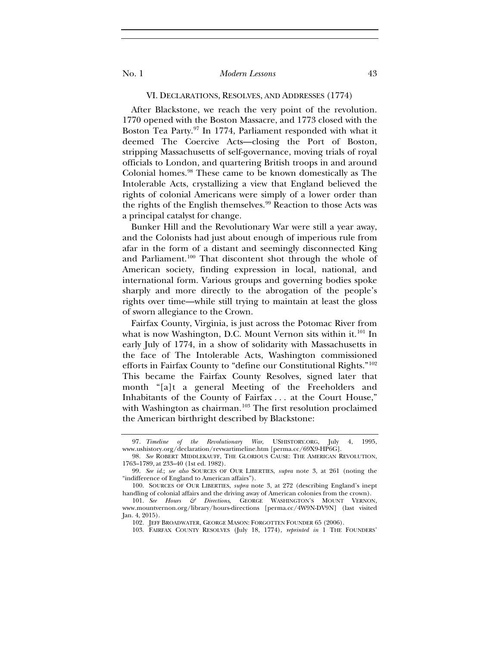#### VI. DECLARATIONS, RESOLVES, AND ADDRESSES (1774)

After Blackstone, we reach the very point of the revolution. 1770 opened with the Boston Massacre, and 1773 closed with the Boston Tea Party.[97](#page-19-0) In 1774, Parliament responded with what it deemed The Coercive Acts—closing the Port of Boston, stripping Massachusetts of self-governance, moving trials of royal officials to London, and quartering British troops in and around Colonial homes.[98](#page-19-1) These came to be known domestically as The Intolerable Acts, crystallizing a view that England believed the rights of colonial Americans were simply of a lower order than the rights of the English themselves.<sup>[99](#page-19-2)</sup> Reaction to those Acts was a principal catalyst for change.

Bunker Hill and the Revolutionary War were still a year away, and the Colonists had just about enough of imperious rule from afar in the form of a distant and seemingly disconnected King and Parliament.<sup>[100](#page-19-3)</sup> That discontent shot through the whole of American society, finding expression in local, national, and international form. Various groups and governing bodies spoke sharply and more directly to the abrogation of the people's rights over time—while still trying to maintain at least the gloss of sworn allegiance to the Crown.

Fairfax County, Virginia, is just across the Potomac River from what is now Washington, D.C. Mount Vernon sits within it.<sup>[101](#page-19-4)</sup> In early July of 1774, in a show of solidarity with Massachusetts in the face of The Intolerable Acts, Washington commissioned efforts in Fairfax County to "define our Constitutional Rights."[102](#page-19-5) This became the Fairfax County Resolves, signed later that month "[a]t a general Meeting of the Freeholders and Inhabitants of the County of Fairfax . . . at the Court House," with Washington as chairman.<sup>[103](#page-19-6)</sup> The first resolution proclaimed the American birthright described by Blackstone:

<span id="page-19-0"></span><sup>97</sup>*. Timeline of the Revolutionary War*, USHISTORY.ORG, July 4, 1995, www.ushistory.org/declaration/revwartimeline.htm [perma.cc/69X9-HP6G].

<span id="page-19-1"></span><sup>98.</sup> *See* ROBERT MIDDLEKAUFF, THE GLORIOUS CAUSE: THE AMERICAN REVOLUTION, 1763–1789, at 233–40 (1st ed. 1982).

<span id="page-19-2"></span><sup>99.</sup> *See id.*; *see also* SOURCES OF OUR LIBERTIES, *supra* note 3, at 261 (noting the "indifference of England to American affairs").

<span id="page-19-3"></span><sup>100.</sup> SOURCES OF OUR LIBERTIES, *supra* note 3, at 272 (describing England's inept handling of colonial affairs and the driving away of American colonies from the crown).

<span id="page-19-6"></span><span id="page-19-5"></span><span id="page-19-4"></span><sup>101.</sup> *See Hours & Directions*, GEORGE WASHINGTON'S MOUNT VERNON, www.mountvernon.org/library/hours-directions [perma.cc/4W9N-DV9N] (last visited Jan. 4, 2015).

<sup>102.</sup> JEFF BROADWATER, GEORGE MASON: FORGOTTEN FOUNDER 65 (2006).

<sup>103.</sup> FAIRFAX COUNTY RESOLVES (July 18, 1774), *reprinted in* 1 THE FOUNDERS'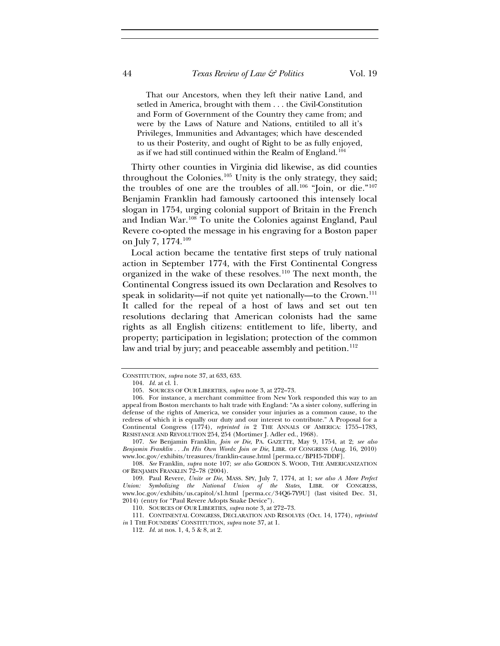That our Ancestors, when they left their native Land, and setled in America, brought with them . . . the Civil-Constitution and Form of Government of the Country they came from; and were by the Laws of Nature and Nations, entitiled to all it's Privileges, Immunities and Advantages; which have descended to us their Posterity, and ought of Right to be as fully enjoyed, as if we had still continued within the Realm of England.<sup>[104](#page-20-0)</sup>

Thirty other counties in Virginia did likewise, as did counties throughout the Colonies.<sup>[105](#page-20-1)</sup> Unity is the only strategy, they said; the troubles of one are the troubles of all.<sup>[106](#page-20-2)</sup> "Join, or die."<sup>[107](#page-20-3)</sup> Benjamin Franklin had famously cartooned this intensely local slogan in 1754, urging colonial support of Britain in the French and Indian War.[108](#page-20-4) To unite the Colonies against England, Paul Revere co-opted the message in his engraving for a Boston paper on July 7, 1774.[109](#page-20-5)

Local action became the tentative first steps of truly national action in September 1774, with the First Continental Congress organized in the wake of these resolves.[110](#page-20-6) The next month, the Continental Congress issued its own Declaration and Resolves to speak in solidarity—if not quite yet nationally—to the Crown.<sup>[111](#page-20-7)</sup> It called for the repeal of a host of laws and set out ten resolutions declaring that American colonists had the same rights as all English citizens: entitlement to life, liberty, and property; participation in legislation; protection of the common law and trial by jury; and peaceable assembly and petition.<sup>[112](#page-20-8)</sup>

<span id="page-20-0"></span>CONSTITUTION, *supra* note 37, at 633, 633.

<sup>104.</sup> *Id.* at cl. 1.

<sup>105.</sup> SOURCES OF OUR LIBERTIES, *supra* note 3, at 272–73.

<span id="page-20-2"></span><span id="page-20-1"></span><sup>106.</sup> For instance, a merchant committee from New York responded this way to an appeal from Boston merchants to halt trade with England: "As a sister colony, suffering in defense of the rights of America, we consider your injuries as a common cause, to the redress of which it is equally our duty and our interest to contribute." A Proposal for a Continental Congress (1774), *reprinted in* 2 THE ANNALS OF AMERICA: 1755–1783, RESISTANCE AND REVOLUTION 254, 254 (Mortimer J. Adler ed., 1968).

<span id="page-20-3"></span><sup>107.</sup> *See* Benjamin Franklin, *Join or Die*, PA. GAZETTE, May 9, 1754, at 2; *see also Benjamin Franklin . . .In His Own Words*: *Join or Die*, LIBR. OF CONGRESS (Aug. 16, 2010) www.loc.gov/exhibits/treasures/franklin-cause.html [perma.cc/BPH5-7DDF].

<span id="page-20-4"></span><sup>108.</sup> *See* Franklin, *supra* note 107; *see also* GORDON S. WOOD, THE AMERICANIZATION OF BENJAMIN FRANKLIN 72–78 (2004).

<span id="page-20-5"></span><sup>109.</sup> Paul Revere, *Unite or Die*, MASS. SPY, July 7, 1774, at 1; s*ee also A More Perfect Union: Symbolizing the National Union of the States*, LIBR. OF CONGRESS, www.loc.gov/exhibits/us.capitol/s1.html [perma.cc/34Q6-7Y9U] (last visited Dec. 31, 2014) (entry for "Paul Revere Adopts Snake Device").

<sup>110.</sup> SOURCES OF OUR LIBERTIES, *supra* note 3*,* at 272–73.

<span id="page-20-8"></span><span id="page-20-7"></span><span id="page-20-6"></span><sup>111.</sup> CONTINENTAL CONGRESS, DECLARATION AND RESOLVES (Oct. 14, 1774), *reprinted in* 1 THE FOUNDERS' CONSTITUTION, *supra* note 37, at 1.

<sup>112.</sup> *Id.* at nos. 1, 4, 5 & 8, at 2.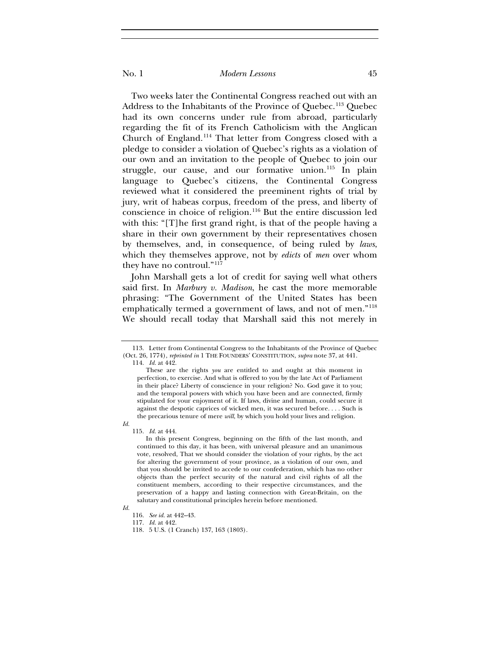Two weeks later the Continental Congress reached out with an Address to the Inhabitants of the Province of Quebec.<sup>[113](#page-21-0)</sup> Quebec had its own concerns under rule from abroad, particularly regarding the fit of its French Catholicism with the Anglican Church of England.[114](#page-21-1) That letter from Congress closed with a pledge to consider a violation of Quebec's rights as a violation of our own and an invitation to the people of Quebec to join our struggle, our cause, and our formative union.<sup>[115](#page-21-2)</sup> In plain language to Quebec's citizens, the Continental Congress reviewed what it considered the preeminent rights of trial by jury, writ of habeas corpus, freedom of the press, and liberty of conscience in choice of religion.[116](#page-21-3) But the entire discussion led with this: "[T]he first grand right, is that of the people having a share in their own government by their representatives chosen by themselves, and, in consequence, of being ruled by *laws*, which they themselves approve, not by *edicts* of *men* over whom they have no controul."[117](#page-21-4)

John Marshall gets a lot of credit for saying well what others said first. In *Marbury v. Madison*, he cast the more memorable phrasing: "The Government of the United States has been emphatically termed a government of laws, and not of men."[118](#page-21-5) We should recall today that Marshall said this not merely in

114. *Id.* at 442.

115. *Id.* at 444.

In this present Congress, beginning on the fifth of the last month, and continued to this day, it has been, with universal pleasure and an unanimous vote, resolved, That we should consider the violation of your rights, by the act for altering the government of your province, as a violation of our own, and that you should be invited to accede to our confederation, which has no other objects than the perfect security of the natural and civil rights of all the constituent members, according to their respective circumstances, and the preservation of a happy and lasting connection with Great-Britain, on the salutary and constitutional principles herein before mentioned.

<span id="page-21-5"></span><span id="page-21-4"></span><span id="page-21-3"></span>*Id.*

<span id="page-21-2"></span>*Id.*

116. *See id.* at 442–43.

<span id="page-21-1"></span><span id="page-21-0"></span><sup>113.</sup> Letter from Continental Congress to the Inhabitants of the Province of Quebec (Oct. 26, 1774), *reprinted in* 1 THE FOUNDERS' CONSTITUTION, *supra* note 37, at 441.

These are the rights *you* are entitled to and ought at this moment in perfection, to exercise. And what is offered to you by the late Act of Parliament in their place? Liberty of conscience in your religion? No. God gave it to you; and the temporal powers with which you have been and are connected, firmly stipulated for your enjoyment of it. If laws, divine and human, could secure it against the despotic caprices of wicked men, it was secured before. . . . Such is the precarious tenure of mere *will*, by which you hold your lives and religion.

<sup>117.</sup> *Id.* at 442.

<sup>118.</sup> 5 U.S. (1 Cranch) 137, 163 (1803).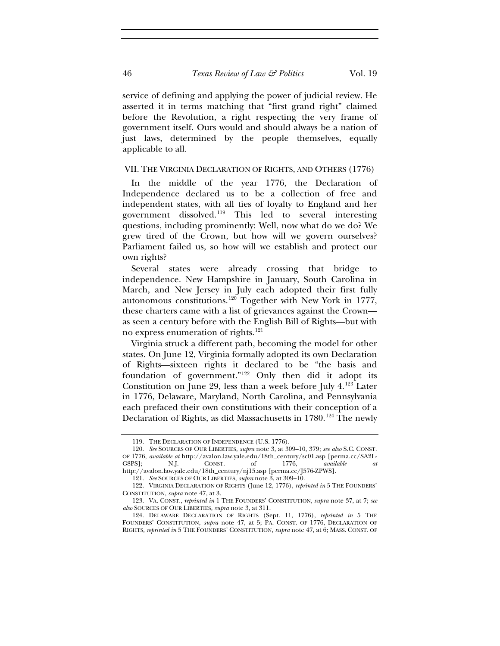service of defining and applying the power of judicial review. He asserted it in terms matching that "first grand right" claimed before the Revolution, a right respecting the very frame of government itself. Ours would and should always be a nation of just laws, determined by the people themselves, equally applicable to all.

#### VII. THE VIRGINIA DECLARATION OF RIGHTS, AND OTHERS (1776)

In the middle of the year 1776, the Declaration of Independence declared us to be a collection of free and independent states, with all ties of loyalty to England and her government dissolved.[119](#page-22-0) This led to several interesting questions, including prominently: Well, now what do we do? We grew tired of the Crown, but how will we govern ourselves? Parliament failed us, so how will we establish and protect our own rights?

Several states were already crossing that bridge to independence. New Hampshire in January, South Carolina in March, and New Jersey in July each adopted their first fully autonomous constitutions.[120](#page-22-1) Together with New York in 1777, these charters came with a list of grievances against the Crown as seen a century before with the English Bill of Rights—but with no express enumeration of rights.<sup>[121](#page-22-2)</sup>

Virginia struck a different path, becoming the model for other states. On June 12, Virginia formally adopted its own Declaration of Rights—sixteen rights it declared to be "the basis and foundation of government."[122](#page-22-3) Only then did it adopt its Constitution on June 29, less than a week before July 4.[123](#page-22-4) Later in 1776, Delaware, Maryland, North Carolina, and Pennsylvania each prefaced their own constitutions with their conception of a Declaration of Rights, as did Massachusetts in 1780.<sup>[124](#page-22-5)</sup> The newly

<sup>119.</sup> THE DECLARATION OF INDEPENDENCE (U.S. 1776).

<span id="page-22-1"></span><span id="page-22-0"></span><sup>120.</sup> *See* SOURCES OF OUR LIBERTIES, *supra* note 3, at 309–10, 379; *see also* S.C. CONST. OF 1776, *available at* http://avalon.law.yale.edu/18th\_century/sc01.asp [perma.cc/SA2L-G8PS]; N.J. CONST. of 1776, *available at* http://avalon.law.yale.edu/18th\_century/nj15.asp [perma.cc/J576-ZPWS].

<sup>121.</sup> *See* SOURCES OF OUR LIBERTIES, *supra* note 3, at 309–10.

<span id="page-22-3"></span><span id="page-22-2"></span><sup>122.</sup> VIRGINIA DECLARATION OF RIGHTS (June 12, 1776), *reprinted in* 5 THE FOUNDERS' CONSTITUTION, *supra* note 47, at 3.

<span id="page-22-4"></span><sup>123.</sup> VA. CONST., *reprinted in* 1 THE FOUNDERS' CONSTITUTION, *supra* note 37, at 7; *see also* SOURCES OF OUR LIBERTIES, *supra* note 3, at 311.

<span id="page-22-5"></span><sup>124.</sup> DELAWARE DECLARATION OF RIGHTS (Sept. 11, 1776), *reprinted in* 5 THE FOUNDERS' CONSTITUTION, *supra* note 47, at 5; PA. CONST. OF 1776, DECLARATION OF RIGHTS, *reprinted in* 5 THE FOUNDERS' CONSTITUTION, *supra* note 47, at 6; MASS. CONST. OF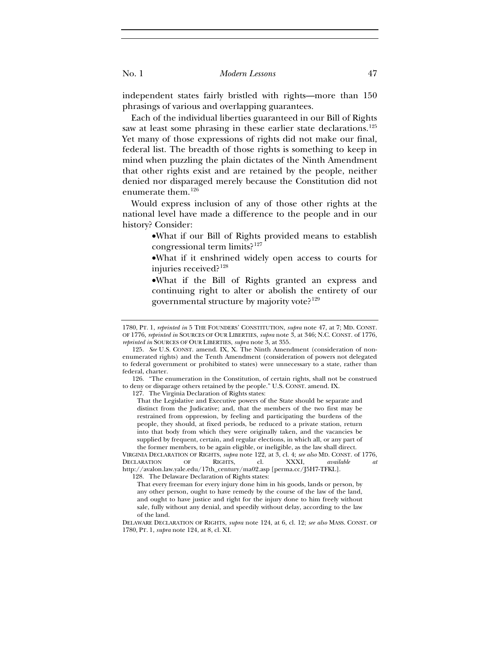independent states fairly bristled with rights—more than 150 phrasings of various and overlapping guarantees.

Each of the individual liberties guaranteed in our Bill of Rights saw at least some phrasing in these earlier state declarations.<sup>[125](#page-23-0)</sup> Yet many of those expressions of rights did not make our final, federal list. The breadth of those rights is something to keep in mind when puzzling the plain dictates of the Ninth Amendment that other rights exist and are retained by the people, neither denied nor disparaged merely because the Constitution did not enumerate them.[126](#page-23-1)

Would express inclusion of any of those other rights at the national level have made a difference to the people and in our history? Consider:

> •What if our Bill of Rights provided means to establish congressional term limits?[127](#page-23-2)

> •What if it enshrined widely open access to courts for injuries received?[128](#page-23-3)

> •What if the Bill of Rights granted an express and continuing right to alter or abolish the entirety of our governmental structure by majority vote?[129](#page-23-4)

<span id="page-23-2"></span><span id="page-23-1"></span>126. "The enumeration in the Constitution, of certain rights, shall not be construed to deny or disparage others retained by the people." U.S. CONST. amend. IX.

127. The Virginia Declaration of Rights states:

That the Legislative and Executive powers of the State should be separate and distinct from the Judicative; and, that the members of the two first may be restrained from oppression, by feeling and participating the burdens of the people, they should, at fixed periods, be reduced to a private station, return into that body from which they were originally taken, and the vacancies be supplied by frequent, certain, and regular elections, in which all, or any part of the former members, to be again eligible, or ineligible, as the law shall direct.

<span id="page-23-3"></span>VIRGINIA DECLARATION OF RIGHTS, *supra* note 122, at 3, cl. 4; *see also* MD. CONST. of 1776, DECLARATION OF RIGHTS, cl. XXXI, *available at* http://avalon.law.yale.edu/17th\_century/ma02.asp [perma.cc/J5H7-TFKL].

128. The Delaware Declaration of Rights states: That every freeman for every injury done him in his goods, lands or person, by any other person, ought to have remedy by the course of the law of the land,

and ought to have justice and right for the injury done to him freely without sale, fully without any denial, and speedily without delay, according to the law of the land.

DELAWARE DECLARATION OF RIGHTS, *supra* note 124, at 6, cl. 12; *see also* MASS. CONST. OF 1780, PT. 1, *supra* note 124, at 8, cl. XI.

<span id="page-23-4"></span><sup>1780,</sup> PT. 1, *reprinted in* 5 THE FOUNDERS' CONSTITUTION, *supra* note 47, at 7; MD. CONST. OF 1776, *reprinted in* SOURCES OF OUR LIBERTIES, *supra* note 3, at 346; N.C. CONST. of 1776, *reprinted in* SOURCES OF OUR LIBERTIES, *supra* note 3, at 355.

<span id="page-23-0"></span><sup>125.</sup> *See* U.S. CONST. amend. IX, X. The Ninth Amendment (consideration of nonenumerated rights) and the Tenth Amendment (consideration of powers not delegated to federal government or prohibited to states) were unnecessary to a state, rather than federal, charter.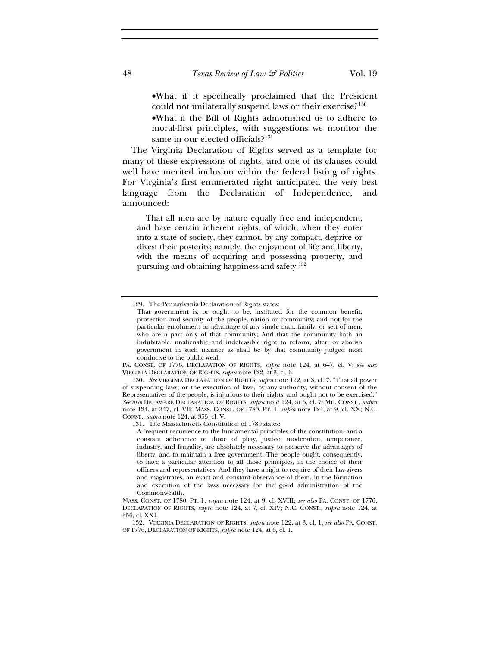•What if it specifically proclaimed that the President could not unilaterally suspend laws or their exercise?<sup>[130](#page-24-0)</sup>

•What if the Bill of Rights admonished us to adhere to moral-first principles, with suggestions we monitor the same in our elected officials?<sup>[131](#page-24-1)</sup>

The Virginia Declaration of Rights served as a template for many of these expressions of rights, and one of its clauses could well have merited inclusion within the federal listing of rights. For Virginia's first enumerated right anticipated the very best language from the Declaration of Independence, and announced:

That all men are by nature equally free and independent, and have certain inherent rights, of which, when they enter into a state of society, they cannot, by any compact, deprive or divest their posterity; namely, the enjoyment of life and liberty, with the means of acquiring and possessing property, and pursuing and obtaining happiness and safety.[132](#page-24-2)

PA. CONST. OF 1776, DECLARATION OF RIGHTS, *supra* note 124, at 6–7, cl. V; s*ee also* VIRGINIA DECLARATION OF RIGHTS, *supra* note 122, at 3, cl. 3.

131. The Massachusetts Constitution of 1780 states:

A frequent recurrence to the fundamental principles of the constitution, and a constant adherence to those of piety, justice, moderation, temperance, industry, and frugality, are absolutely necessary to preserve the advantages of liberty, and to maintain a free government: The people ought, consequently, to have a particular attention to all those principles, in the choice of their officers and representatives: And they have a right to require of their law-givers and magistrates, an exact and constant observance of them, in the formation and execution of the laws necessary for the good administration of the Commonwealth.

<span id="page-24-2"></span>132. VIRGINIA DECLARATION OF RIGHTS, *supra* note 122, at 3, cl. 1; *see also* PA. CONST. OF 1776, DECLARATION OF RIGHTS, *supra* note 124, at 6, cl. 1.

<sup>129.</sup> The Pennsylvania Declaration of Rights states:

That government is, or ought to be, instituted for the common benefit, protection and security of the people, nation or community; and not for the particular emolument or advantage of any single man, family, or sett of men, who are a part only of that community; And that the community hath an indubitable, unalienable and indefeasible right to reform, alter, or abolish government in such manner as shall be by that community judged most conducive to the public weal.

<span id="page-24-1"></span><span id="page-24-0"></span><sup>130.</sup> *See* VIRGINIA DECLARATION OF RIGHTS, *supra* note 122, at 3, cl. 7. "That all power of suspending laws, or the execution of laws, by any authority, without consent of the Representatives of the people, is injurious to their rights, and ought not to be exercised." *See also* DELAWARE DECLARATION OF RIGHTS, *supra* note 124, at 6, cl. 7; MD. CONST., *supra* note 124, at 347, cl. VII; MASS. CONST. OF 1780, PT. 1, *supra* note 124, at 9, cl. XX; N.C. CONST., *supra* note 124, at 355, cl. V.

MASS. CONST. OF 1780, PT. 1, *supra* note 124, at 9, cl. XVIII; *see also* PA. CONST. OF 1776, DECLARATION OF RIGHTS, *supra* note 124, at 7, cl. XIV; N.C. CONST., *supra* note 124, at 356, cl. XXI.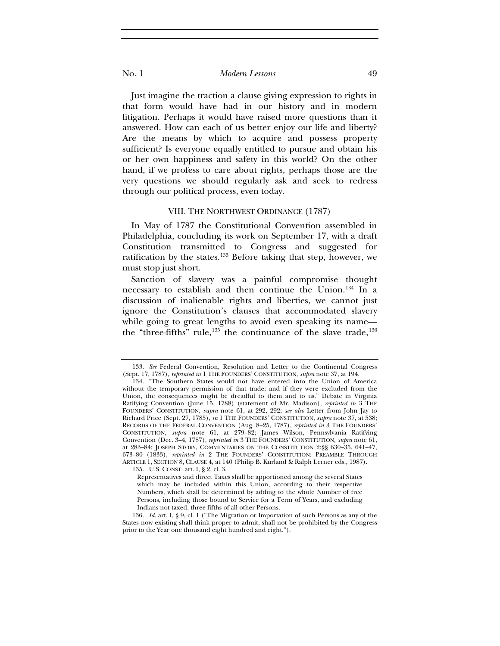Just imagine the traction a clause giving expression to rights in that form would have had in our history and in modern litigation. Perhaps it would have raised more questions than it answered. How can each of us better enjoy our life and liberty? Are the means by which to acquire and possess property sufficient? Is everyone equally entitled to pursue and obtain his or her own happiness and safety in this world? On the other hand, if we profess to care about rights, perhaps those are the very questions we should regularly ask and seek to redress through our political process, even today.

#### VIII. THE NORTHWEST ORDINANCE (1787)

In May of 1787 the Constitutional Convention assembled in Philadelphia, concluding its work on September 17, with a draft Constitution transmitted to Congress and suggested for ratification by the states.<sup>[133](#page-25-0)</sup> Before taking that step, however, we must stop just short.

Sanction of slavery was a painful compromise thought necessary to establish and then continue the Union.<sup>[134](#page-25-1)</sup> In a discussion of inalienable rights and liberties, we cannot just ignore the Constitution's clauses that accommodated slavery while going to great lengths to avoid even speaking its name the "three-fifths" rule, $135$  the continuance of the slave trade, $136$ 

135. U.S. CONST. art. I, § 2, cl. 3.

<sup>133.</sup> *See* Federal Convention, Resolution and Letter to the Continental Congress (Sept. 17, 1787), *reprinted in* 1 THE FOUNDERS' CONSTITUTION, *supra* note 37, at 194.

<span id="page-25-1"></span><span id="page-25-0"></span><sup>134.</sup> "The Southern States would not have entered into the Union of America without the temporary permission of that trade; and if they were excluded from the Union, the consequences might be dreadful to them and to us." Debate in Virginia Ratifying Convention (June 15, 1788) (statement of Mr. Madison), *reprinted in* 3 THE FOUNDERS' CONSTITUTION, *supra* note 61, at 292, 292; *see also* Letter from John Jay to Richard Price (Sept. 27, 1785), *in* 1 THE FOUNDERS' CONSTITUTION, *supra* note 37, at 538; RECORDS OF THE FEDERAL CONVENTION (Aug. 8–25, 1787), *reprinted in* 3 THE FOUNDERS' CONSTITUTION, *supra* note 61, at 279–82; James Wilson, Pennsylvania Ratifying Convention (Dec. 3–4, 1787), *reprinted in* 3 THE FOUNDERS' CONSTITUTION, *supra* note 61, at 283–84; JOSEPH STORY, COMMENTARIES ON THE CONSTITUTION 2:§§ 630–35, 641–47, 673–80 (1833), *reprinted in* 2 THE FOUNDERS' CONSTITUTION: PREAMBLE THROUGH ARTICLE 1, SECTION 8, CLAUSE 4, at 140 (Philip B. Kurland & Ralph Lerner eds., 1987).

Representatives and direct Taxes shall be apportioned among the several States which may be included within this Union, according to their respective Numbers, which shall be determined by adding to the whole Number of free Persons, including those bound to Service for a Term of Years, and excluding Indians not taxed, three fifths of all other Persons.

<span id="page-25-3"></span><span id="page-25-2"></span><sup>136.</sup> *Id.* art. I, § 9, cl. 1 ("The Migration or Importation of such Persons as any of the States now existing shall think proper to admit, shall not be prohibited by the Congress prior to the Year one thousand eight hundred and eight.").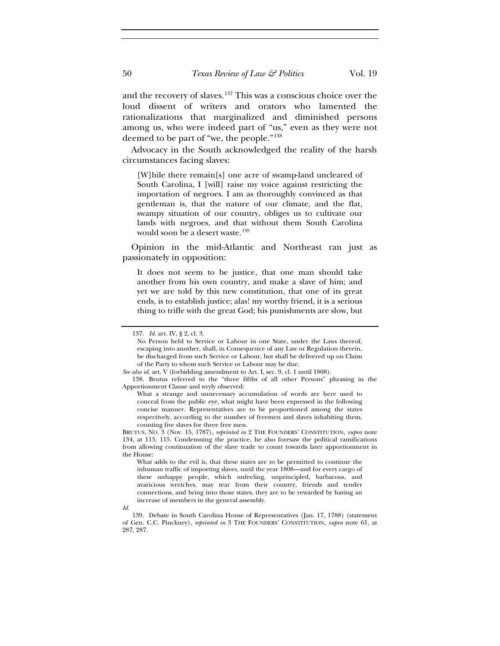and the recovery of slaves.[137](#page-26-0) This was a conscious choice over the loud dissent of writers and orators who lamented the rationalizations that marginalized and diminished persons among us, who were indeed part of "us," even as they were not deemed to be part of "we, the people."[138](#page-26-1)

Advocacy in the South acknowledged the reality of the harsh circumstances facing slaves:

[W]hile there remain[s] one acre of swamp-land uncleared of South Carolina, I [will] raise my voice against restricting the importation of negroes. I am as thoroughly convinced as that gentleman is, that the nature of our climate, and the flat, swampy situation of our country, obliges us to cultivate our lands with negroes, and that without them South Carolina would soon be a desert waste.<sup>[139](#page-26-2)</sup>

Opinion in the mid-Atlantic and Northeast ran just as passionately in opposition:

It does not seem to be justice, that one man should take another from his own country, and make a slave of him; and yet we are told by this new constitution, that one of its great ends, is to establish justice; alas! my worthy friend, it is a serious thing to trifle with the great God; his punishments are slow, but

<sup>137.</sup> *Id.* art. IV, § 2, cl. 3.

No Person held to Service or Labour in one State, under the Laws thereof, escaping into another, shall, in Consequence of any Law or Regulation therein, be discharged from such Service or Labour, but shall be delivered up on Claim of the Party to whom such Service or Labour may be due.

<span id="page-26-0"></span>*See also id.* art. V (forbidding amendment to Art. I, sec. 9, cl. 1 until 1808).

<span id="page-26-1"></span><sup>138.</sup> Brutus referred to the "three fifths of all other Persons" phrasing in the Apportionment Clause and wryly observed:

What a strange and unnecessary accumulation of words are here used to conceal from the public eye, what might have been expressed in the following concise manner. Representatives are to be proportioned among the states respectively, according to the number of freemen and slaves inhabiting them, counting five slaves for three free men.

BRUTUS, NO. 3 (Nov. 15, 1787), *reprinted in* 2 THE FOUNDERS' CONSTITUTION, *supra* note 134, at 115, 115. Condemning the practice, he also foresaw the political ramifications from allowing continuation of the slave trade to count towards later apportionment in the House:

What adds to the evil is, that these states are to be permitted to continue the inhuman traffic of importing slaves, until the year 1808—and for every cargo of these unhappy people, which unfeeling, unprincipled, barbarous, and avaricious wretches, may tear from their country, friends and tender connections, and bring into those states, they are to be rewarded by having an increase of members in the general assembly.

*Id.*

<span id="page-26-2"></span><sup>139.</sup> Debate in South Carolina House of Representatives (Jan. 17, 1788) (statement of Gen. C.C. Pinckney), *reprinted in* 3 THE FOUNDERS' CONSTITUTION, *supra* note 61, at 287, 287.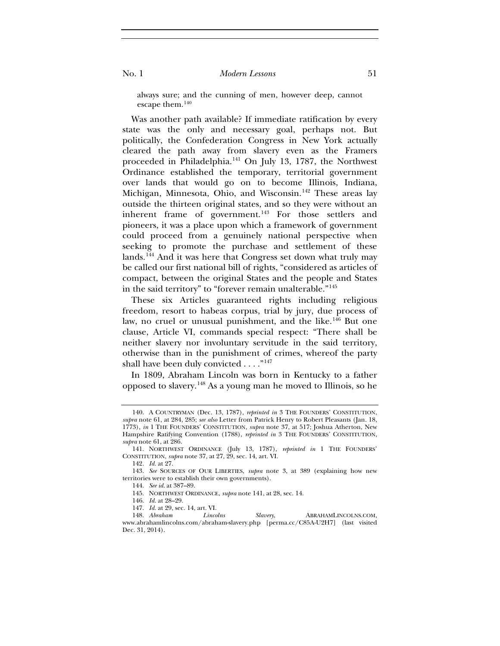always sure; and the cunning of men, however deep, cannot escape them.[140](#page-27-0)

Was another path available? If immediate ratification by every state was the only and necessary goal, perhaps not. But politically, the Confederation Congress in New York actually cleared the path away from slavery even as the Framers proceeded in Philadelphia.[141](#page-27-1) On July 13, 1787, the Northwest Ordinance established the temporary, territorial government over lands that would go on to become Illinois, Indiana, Michigan, Minnesota, Ohio, and Wisconsin.[142](#page-27-2) These areas lay outside the thirteen original states, and so they were without an inherent frame of government.<sup>[143](#page-27-3)</sup> For those settlers and pioneers, it was a place upon which a framework of government could proceed from a genuinely national perspective when seeking to promote the purchase and settlement of these lands.[144](#page-27-4) And it was here that Congress set down what truly may be called our first national bill of rights, "considered as articles of compact, between the original States and the people and States in the said territory" to "forever remain unalterable."[145](#page-27-5)

These six Articles guaranteed rights including religious freedom, resort to habeas corpus, trial by jury, due process of law, no cruel or unusual punishment, and the like.<sup>[146](#page-27-6)</sup> But one clause, Article VI, commands special respect: "There shall be neither slavery nor involuntary servitude in the said territory, otherwise than in the punishment of crimes, whereof the party shall have been duly convicted . . . . "<sup>[147](#page-27-7)</sup>

In 1809, Abraham Lincoln was born in Kentucky to a father opposed to slavery.[148](#page-27-8) As a young man he moved to Illinois, so he

<span id="page-27-0"></span><sup>140.</sup> A COUNTRYMAN (Dec. 13, 1787), *reprinted in* 3 THE FOUNDERS' CONSTITUTION, *supra* note 61, at 284, 285; *see also* Letter from Patrick Henry to Robert Pleasants (Jan. 18, 1773), *in* 1 THE FOUNDERS' CONSTITUTION, *supra* note 37, at 517; Joshua Atherton, New Hampshire Ratifying Convention (1788), *reprinted in* 3 THE FOUNDERS' CONSTITUTION, *supra* note 61, at 286.

<span id="page-27-1"></span><sup>141.</sup> NORTHWEST ORDINANCE (July 13, 1787), *reprinted in* 1 THE FOUNDERS' CONSTITUTION, *supra* note 37, at 27, 29, sec. 14, art. VI.

<sup>142.</sup> *Id.* at 27.

<span id="page-27-4"></span><span id="page-27-3"></span><span id="page-27-2"></span><sup>143.</sup> *See* SOURCES OF OUR LIBERTIES, *supra* note 3, at 389 (explaining how new territories were to establish their own governments).

<sup>144.</sup> *See id.* at 387–89.

<sup>145.</sup> NORTHWEST ORDINANCE, *supra* note 141, at 28, sec. 14.

<sup>146.</sup> *Id.* at 28–29.

<sup>147.</sup> *Id.* at 29, sec. 14, art. VI.

<span id="page-27-8"></span><span id="page-27-7"></span><span id="page-27-6"></span><span id="page-27-5"></span><sup>148.</sup> *Abraham Lincolns Slavery*, ABRAHAMLINCOLNS.COM, www.abrahamlincolns.com/abraham-slavery.php [perma.cc/C85A-U2H7] (last visited Dec. 31, 2014).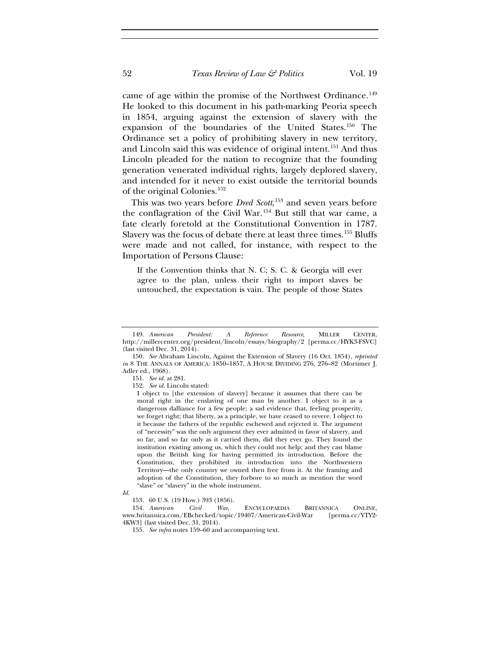came of age within the promise of the Northwest Ordinance.<sup>[149](#page-28-0)</sup> He looked to this document in his path-marking Peoria speech in 1854, arguing against the extension of slavery with the expansion of the boundaries of the United States.[150](#page-28-1) The Ordinance set a policy of prohibiting slavery in new territory, and Lincoln said this was evidence of original intent.<sup>[151](#page-28-2)</sup> And thus Lincoln pleaded for the nation to recognize that the founding generation venerated individual rights, largely deplored slavery, and intended for it never to exist outside the territorial bounds of the original Colonies.[152](#page-28-3)

This was two years before *Dred Scott*, [153](#page-28-4) and seven years before the conflagration of the Civil War.[154](#page-28-5) But still that war came, a fate clearly foretold at the Constitutional Convention in 1787. Slavery was the focus of debate there at least three times.<sup>[155](#page-28-6)</sup> Bluffs were made and not called, for instance, with respect to the Importation of Persons Clause:

If the Convention thinks that N. C; S. C. & Georgia will ever agree to the plan, unless their right to import slaves be untouched, the expectation is vain. The people of those States

152. *See id.* Lincoln stated:

<span id="page-28-0"></span><sup>149.</sup> *American President: A Reference Resource*, MILLER CENTER, http://millercenter.org/president/lincoln/essays/biography/2 [perma.cc/HYK3-FSVC] (last visited Dec. 31, 2014).

<span id="page-28-3"></span><span id="page-28-2"></span><span id="page-28-1"></span><sup>150.</sup> *See* Abraham Lincoln, Against the Extension of Slavery (16 Oct. 1854), *reprinted in* 8 THE ANNALS OF AMERICA: 1850-1857, A HOUSE DIVIDING 276, 276-82 (Mortimer J. Adler ed., 1968).

<sup>151.</sup> *See id.* at 281.

I object to [the extension of slavery] because it assumes that there can be moral right in the enslaving of one man by another. I object to it as a dangerous dalliance for a few people; a sad evidence that, feeling prosperity, we forget right; that liberty, as a principle, we have ceased to revere. I object to it because the fathers of the republic eschewed and rejected it. The argument of "necessity" was the only argument they ever admitted in favor of slavery, and so far, and so far only as it carried them, did they ever go. They found the institution existing among us, which they could not help; and they cast blame upon the British king for having permitted its introduction. Before the Constitution, they prohibited its introduction into the Northwestern Territory—the only country we owned then free from it. At the framing and adoption of the Constitution, they forbore to so much as mention the word "slave" or "slavery" in the whole instrument.

<span id="page-28-4"></span>*Id.*

<sup>153.</sup> 60 U.S. (19 How.) 393 (1856).

<span id="page-28-6"></span><span id="page-28-5"></span><sup>154</sup>*. American Civil War*, ENCYCLOPAEDIA BRITANNICA ONLINE, www.britannica.com/EBchecked/topic/19407/American-Civil-War [perma.cc/YTY2- 4KW3] (last visited Dec. 31, 2014).

<sup>155.</sup> *See infra* notes 159–60 and accompanying text.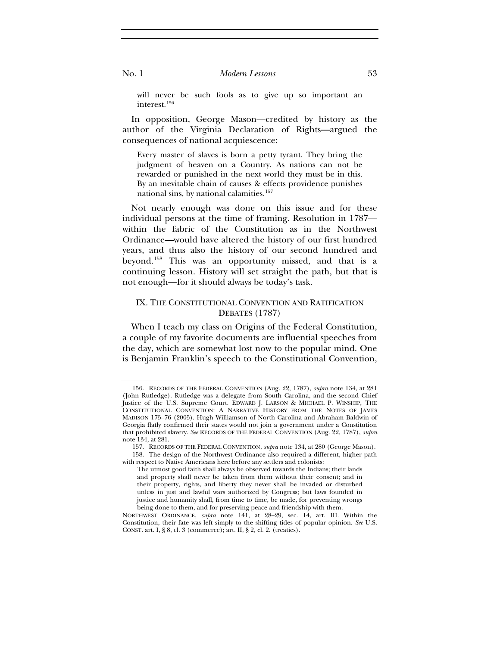will never be such fools as to give up so important an interest.[156](#page-29-0)

In opposition, George Mason—credited by history as the author of the Virginia Declaration of Rights—argued the consequences of national acquiescence:

Every master of slaves is born a petty tyrant. They bring the judgment of heaven on a Country. As nations can not be rewarded or punished in the next world they must be in this. By an inevitable chain of causes & effects providence punishes national sins, by national calamities.<sup>[157](#page-29-1)</sup>

Not nearly enough was done on this issue and for these individual persons at the time of framing. Resolution in 1787 within the fabric of the Constitution as in the Northwest Ordinance—would have altered the history of our first hundred years, and thus also the history of our second hundred and beyond.[158](#page-29-2) This was an opportunity missed, and that is a continuing lesson. History will set straight the path, but that is not enough—for it should always be today's task.

# IX. THE CONSTITUTIONAL CONVENTION AND RATIFICATION DEBATES (1787)

When I teach my class on Origins of the Federal Constitution, a couple of my favorite documents are influential speeches from the day, which are somewhat lost now to the popular mind. One is Benjamin Franklin's speech to the Constitutional Convention,

<span id="page-29-0"></span><sup>156.</sup> RECORDS OF THE FEDERAL CONVENTION (Aug. 22, 1787), *supra* note 134, at 281 (John Rutledge). Rutledge was a delegate from South Carolina, and the second Chief Justice of the U.S. Supreme Court. EDWARD J. LARSON & MICHAEL P. WINSHIP, THE CONSTITUTIONAL CONVENTION: A NARRATIVE HISTORY FROM THE NOTES OF JAMES MADISON 175–76 (2005). Hugh Williamson of North Carolina and Abraham Baldwin of Georgia flatly confirmed their states would not join a government under a Constitution that prohibited slavery. *See* RECORDS OF THE FEDERAL CONVENTION (Aug. 22, 1787), *supra* note 134, at 281.

<span id="page-29-2"></span><span id="page-29-1"></span><sup>157.</sup> RECORDS OF THE FEDERAL CONVENTION, *supra* note 134, at 280 (George Mason). 158. The design of the Northwest Ordinance also required a different, higher path with respect to Native Americans here before any settlers and colonists:

The utmost good faith shall always be observed towards the Indians; their lands and property shall never be taken from them without their consent; and in their property, rights, and liberty they never shall be invaded or disturbed unless in just and lawful wars authorized by Congress; but laws founded in justice and humanity shall, from time to time, be made, for preventing wrongs being done to them, and for preserving peace and friendship with them.

NORTHWEST ORDINANCE, *supra* note 141, at 28–29, sec. 14, art. III. Within the Constitution, their fate was left simply to the shifting tides of popular opinion. *See* U.S. CONST. art. I, § 8, cl. 3 (commerce); art. II, § 2, cl. 2. (treaties).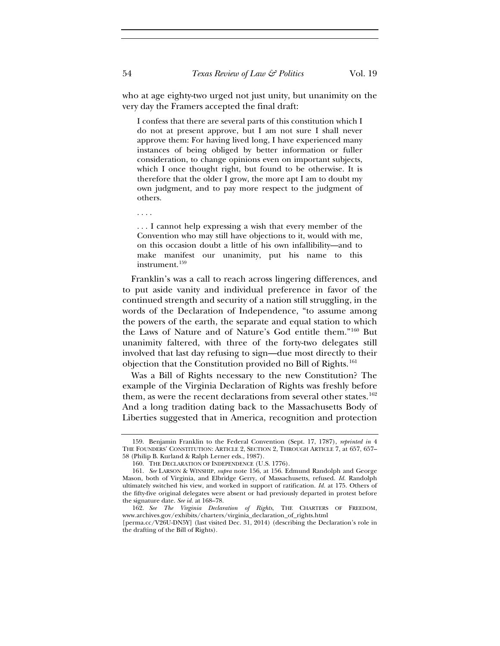who at age eighty-two urged not just unity, but unanimity on the very day the Framers accepted the final draft:

I confess that there are several parts of this constitution which I do not at present approve, but I am not sure I shall never approve them: For having lived long, I have experienced many instances of being obliged by better information or fuller consideration, to change opinions even on important subjects, which I once thought right, but found to be otherwise. It is therefore that the older I grow, the more apt I am to doubt my own judgment, and to pay more respect to the judgment of others.

. . . I cannot help expressing a wish that every member of the Convention who may still have objections to it, would with me, on this occasion doubt a little of his own infallibility—and to make manifest our unanimity, put his name to this instrument.<sup>[159](#page-30-0)</sup>

Franklin's was a call to reach across lingering differences, and to put aside vanity and individual preference in favor of the continued strength and security of a nation still struggling, in the words of the Declaration of Independence, "to assume among the powers of the earth, the separate and equal station to which the Laws of Nature and of Nature's God entitle them."[160](#page-30-1) But unanimity faltered, with three of the forty-two delegates still involved that last day refusing to sign—due most directly to their objection that the Constitution provided no Bill of Rights.<sup>[161](#page-30-2)</sup>

Was a Bill of Rights necessary to the new Constitution? The example of the Virginia Declaration of Rights was freshly before them, as were the recent declarations from several other states.<sup>[162](#page-30-3)</sup> And a long tradition dating back to the Massachusetts Body of Liberties suggested that in America, recognition and protection

. . . .

<span id="page-30-0"></span><sup>159.</sup> Benjamin Franklin to the Federal Convention (Sept. 17, 1787), *reprinted in* 4 THE FOUNDERS' CONSTITUTION: ARTICLE 2, SECTION 2, THROUGH ARTICLE 7, at 657, 657– 58 (Philip B. Kurland & Ralph Lerner eds., 1987).

<sup>160.</sup> THE DECLARATION OF INDEPENDENCE (U.S. 1776).

<span id="page-30-2"></span><span id="page-30-1"></span><sup>161.</sup> *See* LARSON & WINSHIP, *supra* note 156, at 156. Edmund Randolph and George Mason, both of Virginia, and Elbridge Gerry, of Massachusetts, refused. *Id.* Randolph ultimately switched his view, and worked in support of ratification. *Id.* at 175. Others of the fifty-five original delegates were absent or had previously departed in protest before the signature date. *See id.* at 168–78.

<span id="page-30-3"></span><sup>162.</sup> *See The Virginia Declaration of Rights*, THE CHARTERS OF FREEDOM, www.archives.gov/exhibits/charters/virginia\_declaration\_of\_rights.html

<sup>[</sup>perma.cc/V26U-DN5Y] (last visited Dec. 31, 2014) (describing the Declaration's role in the drafting of the Bill of Rights).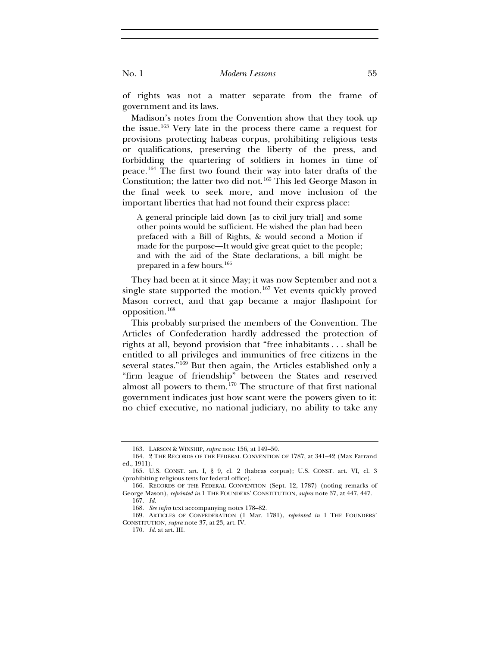of rights was not a matter separate from the frame of government and its laws.

Madison's notes from the Convention show that they took up the issue.[163](#page-31-0) Very late in the process there came a request for provisions protecting habeas corpus, prohibiting religious tests or qualifications, preserving the liberty of the press, and forbidding the quartering of soldiers in homes in time of peace.[164](#page-31-1) The first two found their way into later drafts of the Constitution; the latter two did not.[165](#page-31-2) This led George Mason in the final week to seek more, and move inclusion of the important liberties that had not found their express place:

A general principle laid down [as to civil jury trial] and some other points would be sufficient. He wished the plan had been prefaced with a Bill of Rights, & would second a Motion if made for the purpose—It would give great quiet to the people; and with the aid of the State declarations, a bill might be prepared in a few hours.[166](#page-31-3)

They had been at it since May; it was now September and not a single state supported the motion.<sup>[167](#page-31-4)</sup> Yet events quickly proved Mason correct, and that gap became a major flashpoint for opposition.[168](#page-31-5)

This probably surprised the members of the Convention. The Articles of Confederation hardly addressed the protection of rights at all, beyond provision that "free inhabitants . . . shall be entitled to all privileges and immunities of free citizens in the several states."[169](#page-31-6) But then again, the Articles established only a "firm league of friendship" between the States and reserved almost all powers to them.<sup>[170](#page-31-7)</sup> The structure of that first national government indicates just how scant were the powers given to it: no chief executive, no national judiciary, no ability to take any

<sup>163.</sup> LARSON & WINSHIP, *supra* note 156, at 149–50.

<span id="page-31-1"></span><span id="page-31-0"></span><sup>164. 2</sup> THE RECORDS OF THE FEDERAL CONVENTION OF 1787, at 341–42 (Max Farrand ed., 1911).

<span id="page-31-2"></span><sup>165.</sup> U.S. CONST. art. I, § 9, cl. 2 (habeas corpus); U.S. CONST. art. VI, cl. 3 (prohibiting religious tests for federal office).

<span id="page-31-3"></span><sup>166.</sup> RECORDS OF THE FEDERAL CONVENTION (Sept. 12, 1787) (noting remarks of George Mason), *reprinted in* 1 THE FOUNDERS' CONSTITUTION, *supra* note 37, at 447, 447.

<sup>167.</sup> *Id*.

<sup>168.</sup> *See infra* text accompanying notes 178–82.

<span id="page-31-7"></span><span id="page-31-6"></span><span id="page-31-5"></span><span id="page-31-4"></span><sup>169.</sup> ARTICLES OF CONFEDERATION (1 Mar. 1781), *reprinted in* 1 THE FOUNDERS' CONSTITUTION, *supra* note 37, at 23, art. IV.

<sup>170.</sup> *Id.* at art. III.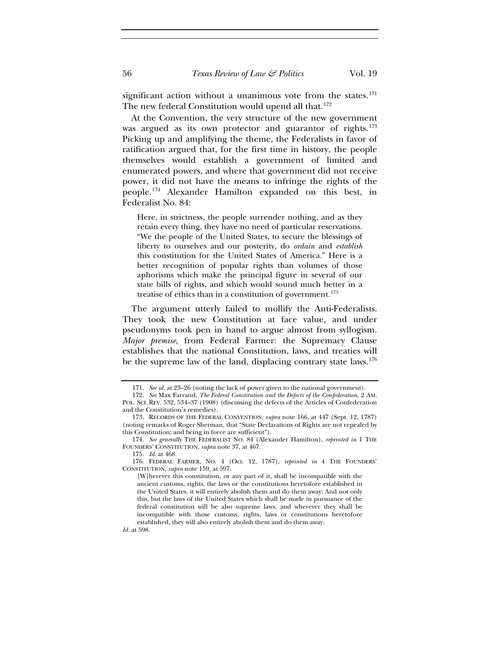significant action without a unanimous vote from the states.<sup>[171](#page-32-0)</sup> The new federal Constitution would upend all that.<sup>[172](#page-32-1)</sup>

At the Convention, the very structure of the new government was argued as its own protector and guarantor of rights.<sup>[173](#page-32-2)</sup> Picking up and amplifying the theme, the Federalists in favor of ratification argued that, for the first time in history, the people themselves would establish a government of limited and enumerated powers, and where that government did not receive power, it did not have the means to infringe the rights of the people.[174](#page-32-3) Alexander Hamilton expanded on this best, in Federalist No. 84:

Here, in strictness, the people surrender nothing, and as they retain every thing, they have no need of particular reservations. "We the people of the United States, to secure the blessings of liberty to ourselves and our posterity, do *ordain* and *establish* this constitution for the United States of America." Here is a better recognition of popular rights than volumes of those aphorisms which make the principal figure in several of our state bills of rights, and which would sound much better in a treatise of ethics than in a constitution of government.<sup>[175](#page-32-4)</sup>

The argument utterly failed to mollify the Anti-Federalists. They took the new Constitution at face value, and under pseudonyms took pen in hand to argue almost from syllogism. *Major premise*, from Federal Farmer: the Supremacy Clause establishes that the national Constitution, laws, and treaties will be the supreme law of the land, displacing contrary state laws.<sup>[176](#page-32-5)</sup>

*Id.* at 598.

<sup>171.</sup> *See id.* at 23–26 (noting the lack of power given to the national government).

<span id="page-32-1"></span><span id="page-32-0"></span><sup>172.</sup> *See* Max Farrand, *The Federal Constitution and the Defects of the Confederation*, 2 AM. POL. SCI. REV. 532, 534–37 (1908) (discussing the defects of the Articles of Confederation and the Constitution's remedies).

<span id="page-32-2"></span><sup>173.</sup> RECORDS OF THE FEDERAL CONVENTION, *supra* note 166, at 447 (Sept. 12, 1787) (noting remarks of Roger Sherman, that "State Declarations of Rights are not repealed by this Constitution; and being in force are sufficient").

<span id="page-32-3"></span><sup>174.</sup> *See generally* THE FEDERALIST NO. 84 (Alexander Hamilton), *reprinted in* 1 THE FOUNDERS' CONSTITUTION, *supra* note 37, at 467.

<sup>175.</sup> *Id.* at 468.

<span id="page-32-5"></span><span id="page-32-4"></span><sup>176.</sup> FEDERAL FARMER, NO. 4 (Oct. 12, 1787), *reprinted in* 4 THE FOUNDERS' CONSTITUTION, *supra* note 159, at 597.

<sup>[</sup>W]herever this constitution, or any part of it, shall be incompatible with the ancient customs, rights, the laws or the constitutions heretofore established in the United States, it will entirely abolish them and do them away: And not only this, but the laws of the United States which shall be made in pursuance of the federal constitution will be also supreme laws, and wherever they shall be incompatible with those customs, rights, laws or constitutions heretofore established, they will also entirely abolish them and do them away.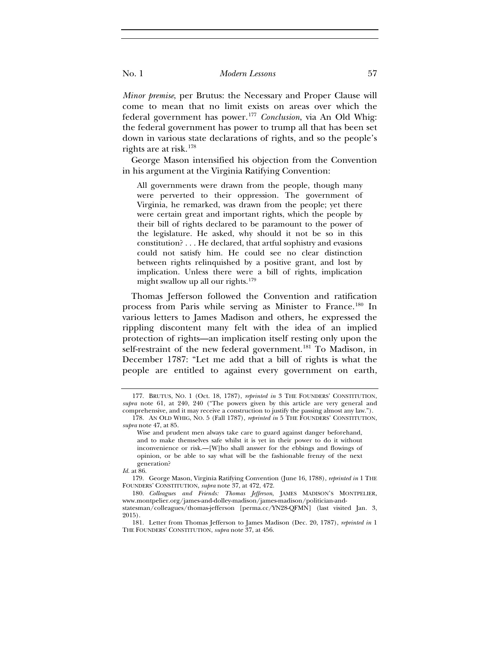*Minor premise*, per Brutus: the Necessary and Proper Clause will come to mean that no limit exists on areas over which the federal government has power.[177](#page-33-0) *Conclusion*, via An Old Whig: the federal government has power to trump all that has been set down in various state declarations of rights, and so the people's rights are at risk.[178](#page-33-1)

George Mason intensified his objection from the Convention in his argument at the Virginia Ratifying Convention:

All governments were drawn from the people, though many were perverted to their oppression. The government of Virginia, he remarked, was drawn from the people; yet there were certain great and important rights, which the people by their bill of rights declared to be paramount to the power of the legislature. He asked, why should it not be so in this constitution? . . . He declared, that artful sophistry and evasions could not satisfy him. He could see no clear distinction between rights relinquished by a positive grant, and lost by implication. Unless there were a bill of rights, implication might swallow up all our rights.<sup>[179](#page-33-2)</sup>

Thomas Jefferson followed the Convention and ratification process from Paris while serving as Minister to France.[180](#page-33-3) In various letters to James Madison and others, he expressed the rippling discontent many felt with the idea of an implied protection of rights—an implication itself resting only upon the self-restraint of the new federal government.<sup>[181](#page-33-4)</sup> To Madison, in December 1787: "Let me add that a bill of rights is what the people are entitled to against every government on earth,

<span id="page-33-0"></span><sup>177.</sup> BRUTUS, NO. 1 (Oct. 18, 1787), *reprinted in* 3 THE FOUNDERS' CONSTITUTION, *supra* note 61, at 240, 240 ("The powers given by this article are very general and comprehensive, and it may receive a construction to justify the passing almost any law."). 178. AN OLD WHIG, NO. 5 (Fall 1787), *reprinted in* 5 THE FOUNDERS' CONSTITUTION,

<span id="page-33-1"></span>*supra* note 47, at 85.

Wise and prudent men always take care to guard against danger beforehand, and to make themselves safe whilst it is yet in their power to do it without inconvenience or risk.—[W]ho shall answer for the ebbings and flowings of opinion, or be able to say what will be the fashionable frenzy of the next generation?

*Id.* at 86.

<span id="page-33-2"></span><sup>179.</sup> George Mason, Virginia Ratifying Convention (June 16, 1788), *reprinted in* 1 THE FOUNDERS' CONSTITUTION, *supra* note 37, at 472, 472.

<span id="page-33-3"></span><sup>180.</sup> *Colleagues and Friends: Thomas Jefferson*, JAMES MADISON'S MONTPELIER, www.montpelier.org/james-and-dolley-madison/james-madison/politician-andstatesman/colleagues/thomas-jefferson [perma.cc/YN28-QFMN] (last visited Jan. 3, 2015).

<span id="page-33-4"></span><sup>181.</sup> Letter from Thomas Jefferson to James Madison (Dec. 20, 1787), *reprinted in* 1 THE FOUNDERS' CONSTITUTION, *supra* note 37, at 456.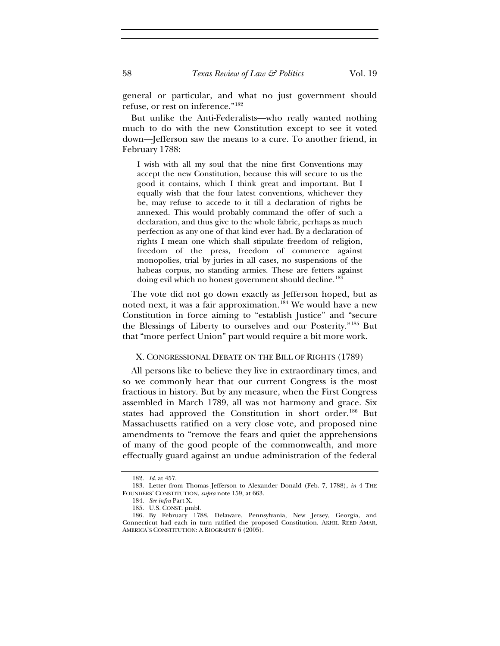general or particular, and what no just government should refuse, or rest on inference."[182](#page-34-0)

But unlike the Anti-Federalists—who really wanted nothing much to do with the new Constitution except to see it voted down—Jefferson saw the means to a cure. To another friend, in February 1788:

I wish with all my soul that the nine first Conventions may accept the new Constitution, because this will secure to us the good it contains, which I think great and important. But I equally wish that the four latest conventions, whichever they be, may refuse to accede to it till a declaration of rights be annexed. This would probably command the offer of such a declaration, and thus give to the whole fabric, perhaps as much perfection as any one of that kind ever had. By a declaration of rights I mean one which shall stipulate freedom of religion, freedom of the press, freedom of commerce against monopolies, trial by juries in all cases, no suspensions of the habeas corpus, no standing armies. These are fetters against doing evil which no honest government should decline.<sup>[183](#page-34-1)</sup>

The vote did not go down exactly as Jefferson hoped, but as noted next, it was a fair approximation.<sup>[184](#page-34-2)</sup> We would have a new Constitution in force aiming to "establish Justice" and "secure the Blessings of Liberty to ourselves and our Posterity."[185](#page-34-3) But that "more perfect Union" part would require a bit more work.

#### X. CONGRESSIONAL DEBATE ON THE BILL OF RIGHTS (1789)

All persons like to believe they live in extraordinary times, and so we commonly hear that our current Congress is the most fractious in history. But by any measure, when the First Congress assembled in March 1789, all was not harmony and grace. Six states had approved the Constitution in short order.<sup>[186](#page-34-4)</sup> But Massachusetts ratified on a very close vote, and proposed nine amendments to "remove the fears and quiet the apprehensions of many of the good people of the commonwealth, and more effectually guard against an undue administration of the federal

<sup>182.</sup> *Id.* at 457.

<span id="page-34-2"></span><span id="page-34-1"></span><span id="page-34-0"></span><sup>183.</sup> Letter from Thomas Jefferson to Alexander Donald (Feb. 7, 1788), *in* 4 THE FOUNDERS' CONSTITUTION, *supra* note 159, at 663.

<sup>184.</sup> *See infra* Part X.

<sup>185.</sup> U.S. CONST. pmbl.

<span id="page-34-4"></span><span id="page-34-3"></span><sup>186.</sup> By February 1788, Delaware, Pennsylvania, New Jersey, Georgia, and Connecticut had each in turn ratified the proposed Constitution. AKHIL REED AMAR, AMERICA'S CONSTITUTION: A BIOGRAPHY 6 (2005).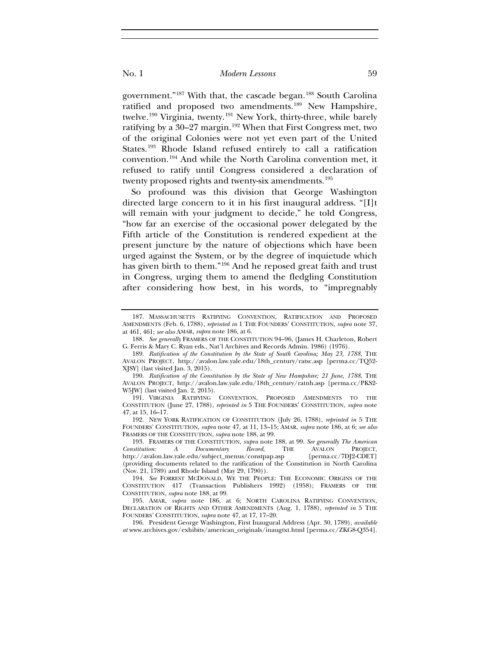government."[187](#page-35-0) With that, the cascade began.[188](#page-35-1) South Carolina ratified and proposed two amendments.<sup>[189](#page-35-2)</sup> New Hampshire, twelve.<sup>[190](#page-35-3)</sup> Virginia, twenty.<sup>[191](#page-35-4)</sup> New York, thirty-three, while barely ratifying by a 30–27 margin.<sup>[192](#page-35-5)</sup> When that First Congress met, two of the original Colonies were not yet even part of the United States.[193](#page-35-6) Rhode Island refused entirely to call a ratification convention.[194](#page-35-7) And while the North Carolina convention met, it refused to ratify until Congress considered a declaration of twenty proposed rights and twenty-six amendments.<sup>[195](#page-35-8)</sup>

So profound was this division that George Washington directed large concern to it in his first inaugural address. "[I]t will remain with your judgment to decide," he told Congress, "how far an exercise of the occasional power delegated by the Fifth article of the Constitution is rendered expedient at the present juncture by the nature of objections which have been urged against the System, or by the degree of inquietude which has given birth to them."[196](#page-35-9) And he reposed great faith and trust in Congress, urging them to amend the fledgling Constitution after considering how best, in his words, to "impregnably

<span id="page-35-5"></span>192. NEW YORK RATIFICATION OF CONSTITUTION (July 26, 1788), *reprinted in* 5 THE FOUNDERS' CONSTITUTION, *supra* note 47, at 11, 13–15; AMAR, *supra* note 186, at 6; *see also* FRAMERS OF THE CONSTITUTION, *supra* note 188, at 99.

<span id="page-35-0"></span><sup>187.</sup> MASSACHUSETTS RATIFYING CONVENTION, RATIFICATION AND PROPOSED AMENDMENTS (Feb. 6, 1788), *reprinted in* 1 THE FOUNDERS' CONSTITUTION, *supra* note 37, at 461, 461; *see also* AMAR, *supra* note 186, at 6.

<span id="page-35-1"></span><sup>188.</sup> *See generally* FRAMERS OF THE CONSTITUTION 94–96, (James H. Charleton, Robert G. Ferris & Mary C. Ryan eds., Nat'l Archives and Records Admin. 1986) (1976).

<span id="page-35-2"></span><sup>189.</sup> *Ratification of the Constitution by the State of South Carolina; May 23, 1788*, THE AVALON PROJECT, http://avalon.law.yale.edu/18th\_century/ratsc.asp [perma.cc/TQ52- XJSY] (last visited Jan. 3, 2015).

<span id="page-35-3"></span><sup>190.</sup> *Ratification of the Constitution by the State of New Hampshire; 21 June, 1788*, THE AVALON PROJECT, http://avalon.law.yale.edu/18th\_century/ratnh.asp [perma.cc/PKS2- W5JW] (last visited Jan. 2, 2015).

<span id="page-35-4"></span><sup>191.</sup> VIRGINIA RATIFYING CONVENTION, PROPOSED AMENDMENTS TO THE CONSTITUTION (June 27, 1788), *reprinted in* 5 THE FOUNDERS' CONSTITUTION, *supra* note 47, at 15, 16–17.

<span id="page-35-6"></span><sup>193.</sup> FRAMERS OF THE CONSTITUTION, *supra* note 188, at 99. *See generally The American Constitution: A Documentary Record*, THE AVALON PROJECT, http://avalon.law.yale.edu/subject\_menus/constpap.asp (providing documents related to the ratification of the Constitution in North Carolina (Nov. 21, 1789) and Rhode Island (May 29, 1790)).

<span id="page-35-7"></span><sup>194.</sup> *See* FORREST MCDONALD, WE THE PEOPLE: THE ECONOMIC ORIGINS OF THE CONSTITUTION 417 (Transaction Publishers 1992) (1958); FRAMERS OF THE CONSTITUTION, *supra* note 188, at 99.

<span id="page-35-8"></span><sup>195.</sup> AMAR, *supra* note 186, at 6; NORTH CAROLINA RATIFYING CONVENTION, DECLARATION OF RIGHTS AND OTHER AMENDMENTS (Aug. 1, 1788), *reprinted in* 5 THE FOUNDERS' CONSTITUTION, *supra* note 47, at 17, 17–20.

<span id="page-35-9"></span><sup>196.</sup> President George Washington, First Inaugural Address (Apr. 30, 1789), *available at* www.archives.gov/exhibits/american\_originals/inaugtxt.html [perma.cc/ZKG8-Q354].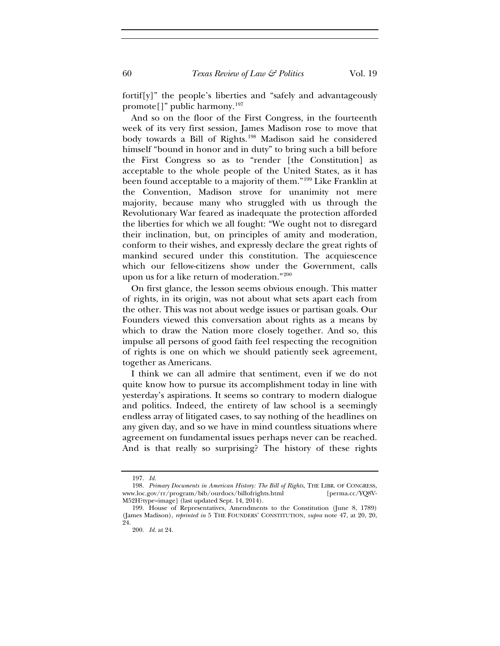fortif[y]" the people's liberties and "safely and advantageously promote[]" public harmony.[197](#page-36-0)

And so on the floor of the First Congress, in the fourteenth week of its very first session, James Madison rose to move that body towards a Bill of Rights.<sup>[198](#page-36-1)</sup> Madison said he considered himself "bound in honor and in duty" to bring such a bill before the First Congress so as to "render [the Constitution] as acceptable to the whole people of the United States, as it has been found acceptable to a majority of them."[199](#page-36-2) Like Franklin at the Convention, Madison strove for unanimity not mere majority, because many who struggled with us through the Revolutionary War feared as inadequate the protection afforded the liberties for which we all fought: "We ought not to disregard their inclination, but, on principles of amity and moderation, conform to their wishes, and expressly declare the great rights of mankind secured under this constitution. The acquiescence which our fellow-citizens show under the Government, calls upon us for a like return of moderation."[200](#page-36-3)

On first glance, the lesson seems obvious enough. This matter of rights, in its origin, was not about what sets apart each from the other. This was not about wedge issues or partisan goals. Our Founders viewed this conversation about rights as a means by which to draw the Nation more closely together. And so, this impulse all persons of good faith feel respecting the recognition of rights is one on which we should patiently seek agreement, together as Americans.

I think we can all admire that sentiment, even if we do not quite know how to pursue its accomplishment today in line with yesterday's aspirations. It seems so contrary to modern dialogue and politics. Indeed, the entirety of law school is a seemingly endless array of litigated cases, to say nothing of the headlines on any given day, and so we have in mind countless situations where agreement on fundamental issues perhaps never can be reached. And is that really so surprising? The history of these rights

<sup>197.</sup> *Id.*

<span id="page-36-1"></span><span id="page-36-0"></span><sup>198.</sup> *Primary Documents in American History: The Bill of Rights*, THE LIBR. OF CONGRESS, www.loc.gov/rr/program/bib/ourdocs/billofrights.html M52H?type=image] (last updated Sept. 14, 2014).

<span id="page-36-3"></span><span id="page-36-2"></span><sup>199.</sup> House of Representatives, Amendments to the Constitution (June 8, 1789) (James Madison), *reprinted in* 5 THE FOUNDERS' CONSTITUTION, *supra* note 47, at 20, 20, 24.

<sup>200.</sup> *Id.* at 24.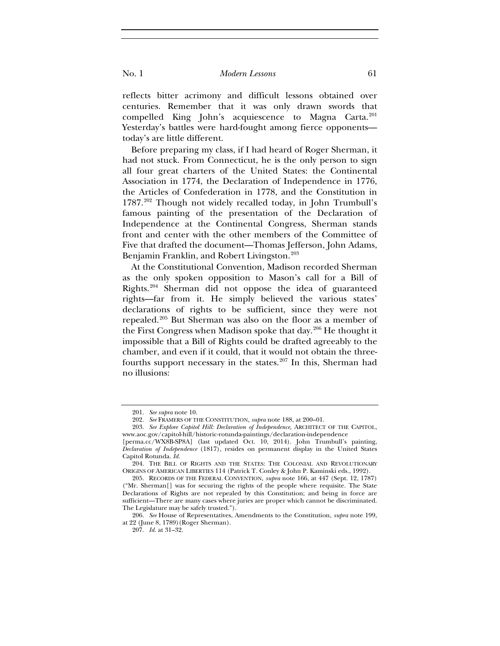reflects bitter acrimony and difficult lessons obtained over centuries. Remember that it was only drawn swords that compelled King John's acquiescence to Magna Carta.<sup>[201](#page-37-0)</sup> Yesterday's battles were hard-fought among fierce opponents today's are little different.

Before preparing my class, if I had heard of Roger Sherman, it had not stuck. From Connecticut, he is the only person to sign all four great charters of the United States: the Continental Association in 1774, the Declaration of Independence in 1776, the Articles of Confederation in 1778, and the Constitution in 1787.[202](#page-37-1) Though not widely recalled today, in John Trumbull's famous painting of the presentation of the Declaration of Independence at the Continental Congress, Sherman stands front and center with the other members of the Committee of Five that drafted the document—Thomas Jefferson, John Adams, Benjamin Franklin, and Robert Livingston.<sup>[203](#page-37-2)</sup>

At the Constitutional Convention, Madison recorded Sherman as the only spoken opposition to Mason's call for a Bill of Rights.[204](#page-37-3) Sherman did not oppose the idea of guaranteed rights—far from it. He simply believed the various states' declarations of rights to be sufficient, since they were not repealed.[205](#page-37-4) But Sherman was also on the floor as a member of the First Congress when Madison spoke that day.[206](#page-37-5) He thought it impossible that a Bill of Rights could be drafted agreeably to the chamber, and even if it could, that it would not obtain the three-fourths support necessary in the states.<sup>[207](#page-37-6)</sup> In this, Sherman had no illusions:

<sup>201.</sup> *See supra* note 10.

<sup>202.</sup> *See* FRAMERS OF THE CONSTITUTION, *supra* note 188, at 200–01.

<span id="page-37-2"></span><span id="page-37-1"></span><span id="page-37-0"></span><sup>203.</sup> *See Explore Capitol Hill: Declaration of Independence*, ARCHITECT OF THE CAPITOL, www.aoc.gov/capitol-hill/historic-rotunda-paintings/declaration-independence

<sup>[</sup>perma.cc/WX8B-SP8A] (last updated Oct. 10, 2014). John Trumbull's painting, *Declaration of Independence* (1817), resides on permanent display in the United States Capitol Rotunda. *Id.*

<span id="page-37-3"></span><sup>204.</sup> THE BILL OF RIGHTS AND THE STATES: THE COLONIAL AND REVOLUTIONARY ORIGINS OF AMERICAN LIBERTIES 114 (Patrick T. Conley & John P. Kaminski eds., 1992).

<span id="page-37-4"></span><sup>205.</sup> RECORDS OF THE FEDERAL CONVENTION, *supra* note 166, at 447 (Sept. 12, 1787) ("Mr. Sherman[] was for securing the rights of the people where requisite. The State Declarations of Rights are not repealed by this Constitution; and being in force are sufficient—There are many cases where juries are proper which cannot be discriminated. The Legislature may be safely trusted.").

<span id="page-37-6"></span><span id="page-37-5"></span><sup>206.</sup> *See* House of Representatives, Amendments to the Constitution, *supra* note 199, at 22 (June 8, 1789)(Roger Sherman).

<sup>207.</sup> *Id.* at 31–32.